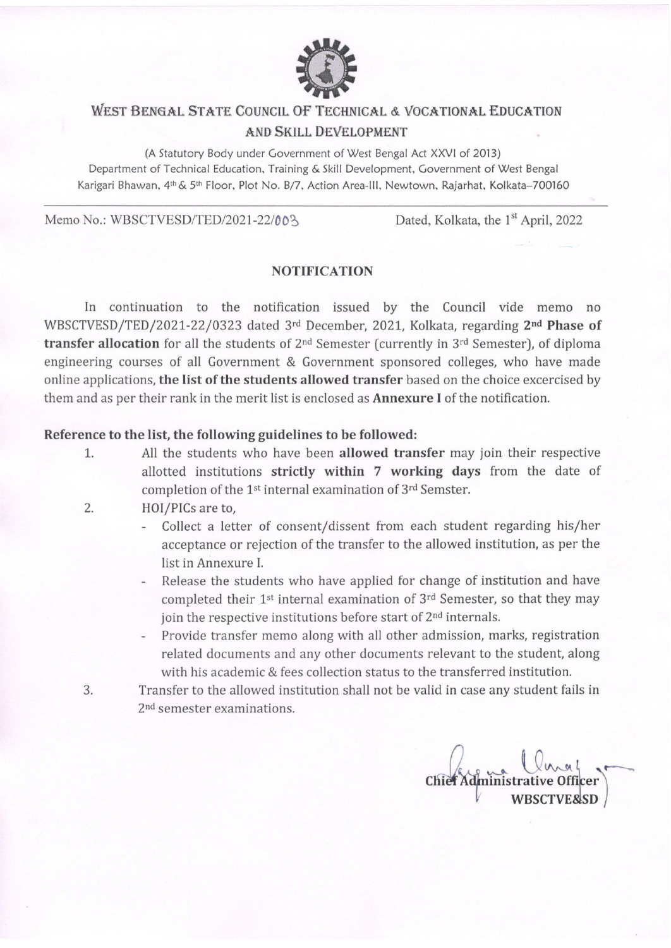

## WEST BENGAL STATE COUNCIL OF TECHNICAL & VOCATIONAL EDUCATION AND SKILL DEVELOPMENT

(A Statutory Body under Government of West Bengal Act XXVI of 2013) Department of Technical Education, Training & Skill Development, Government of West Bengal Karigari Bhawan, 4th & 5th Floor, Plot No. B/7, Action Area-III, Newtown, Rajarhat, Kolkata-700160

Memo No.: WBSCTVESD/TED/2021-22/003

Dated, Kolkata, the 1<sup>st</sup> April, 2022

## **NOTIFICATION**

In continuation to the notification issued by the Council vide memo no WBSCTVESD/TED/2021-22/0323 dated 3rd December, 2021, Kolkata, regarding 2nd Phase of transfer allocation for all the students of 2<sup>nd</sup> Semester (currently in 3<sup>rd</sup> Semester), of diploma engineering courses of all Government & Government sponsored colleges, who have made online applications, the list of the students allowed transfer based on the choice excercised by them and as per their rank in the merit list is enclosed as **Annexure I** of the notification.

## Reference to the list, the following guidelines to be followed:

- All the students who have been allowed transfer may join their respective 1. allotted institutions strictly within 7 working days from the date of completion of the 1<sup>st</sup> internal examination of 3<sup>rd</sup> Semster.
- 2. HOI/PICs are to,
	- Collect a letter of consent/dissent from each student regarding his/her  $\overline{\phantom{a}}$ acceptance or rejection of the transfer to the allowed institution, as per the list in Annexure I.
	- Release the students who have applied for change of institution and have completed their 1<sup>st</sup> internal examination of 3<sup>rd</sup> Semester, so that they may join the respective institutions before start of 2<sup>nd</sup> internals.
	- Provide transfer memo along with all other admission, marks, registration related documents and any other documents relevant to the student, along with his academic & fees collection status to the transferred institution.
- 3. Transfer to the allowed institution shall not be valid in case any student fails in 2<sup>nd</sup> semester examinations.

Chief Administrati **WBSCTVE&SD**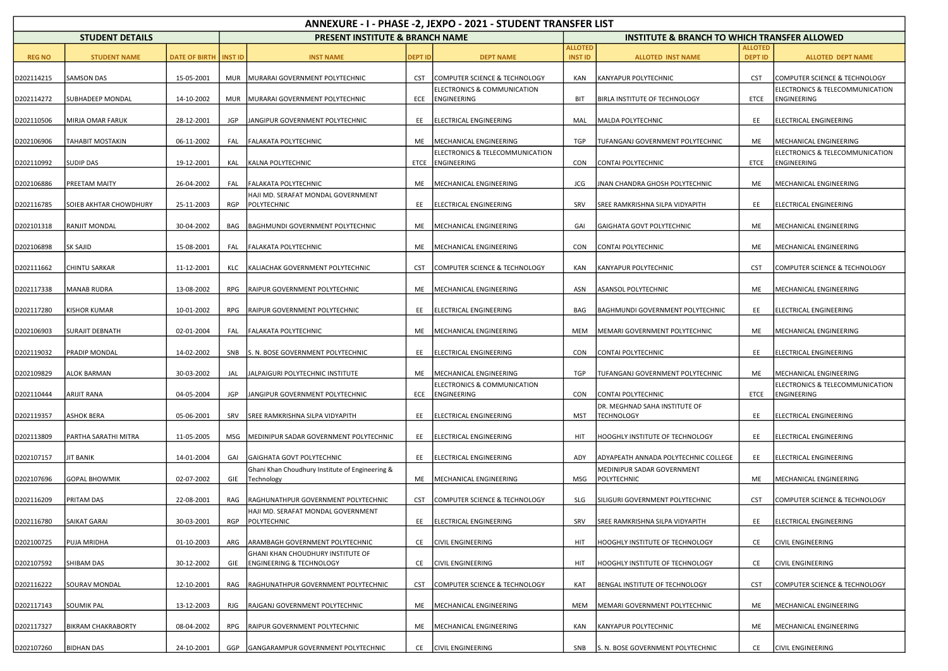| ANNEXURE - I - PHASE -2, JEXPO - 2021 - STUDENT TRANSFER LIST |                        |                                |            |                                                                          |                |                                                |                                  |                                                         |                                  |                                                |  |  |
|---------------------------------------------------------------|------------------------|--------------------------------|------------|--------------------------------------------------------------------------|----------------|------------------------------------------------|----------------------------------|---------------------------------------------------------|----------------------------------|------------------------------------------------|--|--|
|                                                               | <b>STUDENT DETAILS</b> |                                |            | <b>PRESENT INSTITUTE &amp; BRANCH NAME</b>                               |                |                                                |                                  | <b>INSTITUTE &amp; BRANCH TO WHICH TRANSFER ALLOWED</b> |                                  |                                                |  |  |
| <b>REG NO</b>                                                 | <b>STUDENT NAME</b>    | <b>DATE OF BIRTH   INST ID</b> |            | <b>INST NAME</b>                                                         | <b>DEPT ID</b> | <b>DEPT NAME</b>                               | <b>ALLOTED</b><br><b>INST ID</b> | <b>ALLOTED INST NAME</b>                                | <b>ALLOTED</b><br><b>DEPT ID</b> | <b>ALLOTED DEPT NAME</b>                       |  |  |
| D202114215                                                    | <b>SAMSON DAS</b>      | 15-05-2001                     | <b>MUR</b> | MURARAI GOVERNMENT POLYTECHNIC                                           | <b>CST</b>     | COMPUTER SCIENCE & TECHNOLOGY                  | KAN                              | KANYAPUR POLYTECHNIC                                    | <b>CST</b>                       | COMPUTER SCIENCE & TECHNOLOGY                  |  |  |
| D202114272                                                    | SUBHADEEP MONDAL       | 14-10-2002                     | <b>MUR</b> | MURARAI GOVERNMENT POLYTECHNIC                                           | ECE            | ELECTRONICS & COMMUNICATION<br>ENGINEERING     | <b>BIT</b>                       | BIRLA INSTITUTE OF TECHNOLOGY                           | ETCE                             | ELECTRONICS & TELECOMMUNICATION<br>ENGINEERING |  |  |
| D202110506                                                    | MIRJA OMAR FARUK       | 28-12-2001                     | JGP        | JANGIPUR GOVERNMENT POLYTECHNIC                                          | EE             | ELECTRICAL ENGINEERING                         | MAL                              | MALDA POLYTECHNIC                                       | EE                               | ELECTRICAL ENGINEERING                         |  |  |
| D202106906                                                    | TAHABIT MOSTAKIN       | 06-11-2002                     | FAL        | FALAKATA POLYTECHNIC                                                     | ME             | MECHANICAL ENGINEERING                         | <b>TGP</b>                       | TUFANGANJ GOVERNMENT POLYTECHNIC                        | ME                               | MECHANICAL ENGINEERING                         |  |  |
| D202110992                                                    | SUDIP DAS              | 19-12-2001                     | KAL        | KALNA POLYTECHNIC                                                        | ETCE           | ELECTRONICS & TELECOMMUNICATION<br>ENGINEERING | <b>CON</b>                       | CONTAI POLYTECHNIC                                      | ETCE                             | ELECTRONICS & TELECOMMUNICATION<br>ENGINEERING |  |  |
| D202106886                                                    | PREETAM MAITY          | 26-04-2002                     | FAL        | FALAKATA POLYTECHNIC                                                     | ME             | MECHANICAL ENGINEERING                         | JCG                              | JNAN CHANDRA GHOSH POLYTECHNIC                          | ME                               | MECHANICAL ENGINEERING                         |  |  |
| D202116785                                                    | SOIEB AKHTAR CHOWDHURY | 25-11-2003                     | RGP        | HAJI MD. SERAFAT MONDAL GOVERNMENT<br>POLYTECHNIC                        | EE             | ELECTRICAL ENGINEERING                         | SRV                              | SREE RAMKRISHNA SILPA VIDYAPITH                         | EE                               | ELECTRICAL ENGINEERING                         |  |  |
| D202101318                                                    | RANJIT MONDAL          | 30-04-2002                     | BAG        | BAGHMUNDI GOVERNMENT POLYTECHNIC                                         | ME             | MECHANICAL ENGINEERING                         | GAI                              | GAIGHATA GOVT POLYTECHNIC                               | ME                               | MECHANICAL ENGINEERING                         |  |  |
| D202106898                                                    | <b>SK SAJID</b>        | 15-08-2001                     | FAL        | FALAKATA POLYTECHNIC                                                     | ME             | MECHANICAL ENGINEERING                         | CON                              | CONTAI POLYTECHNIC                                      | ME                               | MECHANICAL ENGINEERING                         |  |  |
| D202111662                                                    | CHINTU SARKAR          | 11-12-2001                     | KLC        | KALIACHAK GOVERNMENT POLYTECHNIC                                         | <b>CST</b>     | COMPUTER SCIENCE & TECHNOLOGY                  | KAN                              | IKANYAPUR POLYTECHNIC                                   | <b>CST</b>                       | COMPUTER SCIENCE & TECHNOLOGY                  |  |  |
| D202117338                                                    | MANAB RUDRA            | 13-08-2002                     | RPG        | RAIPUR GOVERNMENT POLYTECHNIC                                            | ME             | MECHANICAL ENGINEERING                         | ASN                              | <b>ASANSOL POLYTECHNIC</b>                              | ME                               | MECHANICAL ENGINEERING                         |  |  |
| D202117280                                                    | <b>KISHOR KUMAR</b>    | 10-01-2002                     | RPG        | RAIPUR GOVERNMENT POLYTECHNIC                                            | EE             | ELECTRICAL ENGINEERING                         | BAG                              | BAGHMUNDI GOVERNMENT POLYTECHNIC                        | EE                               | ELECTRICAL ENGINEERING                         |  |  |
| D202106903                                                    | <b>SURAJIT DEBNATH</b> | 02-01-2004                     | FAL        | FALAKATA POLYTECHNIC                                                     | ME             | MECHANICAL ENGINEERING                         | <b>MEM</b>                       | MEMARI GOVERNMENT POLYTECHNIC                           | ME                               | MECHANICAL ENGINEERING                         |  |  |
| D202119032                                                    | PRADIP MONDAL          | 14-02-2002                     | SNB        | S. N. BOSE GOVERNMENT POLYTECHNIC                                        | EE             | ELECTRICAL ENGINEERING                         | <b>CON</b>                       | CONTAI POLYTECHNIC                                      | EE                               | ELECTRICAL ENGINEERING                         |  |  |
| D202109829                                                    | ALOK BARMAN            | 30-03-2002                     | JAL        | JALPAIGURI POLYTECHNIC INSTITUTE                                         | ME             | MECHANICAL ENGINEERING                         | TGP                              | TUFANGANJ GOVERNMENT POLYTECHNIC                        | ME                               | MECHANICAL ENGINEERING                         |  |  |
| D202110444                                                    | ARIJIT RANA            | 04-05-2004                     | JGP        | JANGIPUR GOVERNMENT POLYTECHNIC                                          | ECE            | ELECTRONICS & COMMUNICATION<br>ENGINEERING     | <b>CON</b>                       | CONTAI POLYTECHNIC                                      | ETCE                             | ELECTRONICS & TELECOMMUNICATION<br>ENGINEERING |  |  |
| D202119357                                                    | <b>ASHOK BERA</b>      | 05-06-2001                     | SRV        | SREE RAMKRISHNA SILPA VIDYAPITH                                          | EE             | ELECTRICAL ENGINEERING                         | MST                              | DR. MEGHNAD SAHA INSTITUTE OF<br><b>TECHNOLOGY</b>      | EE                               | ELECTRICAL ENGINEERING                         |  |  |
| D202113809                                                    | PARTHA SARATHI MITRA   | 11-05-2005                     | MSG        | MEDINIPUR SADAR GOVERNMENT POLYTECHNIC                                   | EE             | ELECTRICAL ENGINEERING                         | HIT                              | HOOGHLY INSTITUTE OF TECHNOLOGY                         | EE                               | ELECTRICAL ENGINEERING                         |  |  |
| D202107157                                                    | IT BANIK               | 14-01-2004                     | GAI        | GAIGHATA GOVT POLYTECHNIC                                                | EE             | ELECTRICAL ENGINEERING                         | ADY                              | ADYAPEATH ANNADA POLYTECHNIC COLLEGE                    | EE                               | ELECTRICAL ENGINEERING                         |  |  |
| D202107696                                                    | <b>GOPAL BHOWMIK</b>   | 02-07-2002                     | GIE        | Ghani Khan Choudhury Institute of Engineering &<br>Technology            | ME             | MECHANICAL ENGINEERING                         | MSG                              | MEDINIPUR SADAR GOVERNMENT<br>POLYTECHNIC               | ME                               | MECHANICAL ENGINEERING                         |  |  |
| D202116209                                                    | PRITAM DAS             | 22-08-2001                     | RAG        | RAGHUNATHPUR GOVERNMENT POLYTECHNIC                                      | <b>CST</b>     | COMPUTER SCIENCE & TECHNOLOGY                  | SLG                              | SILIGURI GOVERNMENT POLYTECHNIC                         | <b>CST</b>                       | COMPUTER SCIENCE & TECHNOLOGY                  |  |  |
| D202116780                                                    | SAIKAT GARAI           | 30-03-2001                     | RGP        | HAJI MD. SERAFAT MONDAL GOVERNMENT<br>POLYTECHNIC                        | EE             | ELECTRICAL ENGINEERING                         | SRV                              | SREE RAMKRISHNA SILPA VIDYAPITH                         | EE                               | ELECTRICAL ENGINEERING                         |  |  |
| D202100725                                                    | PUJA MRIDHA            | 01-10-2003                     | ARG        | ARAMBAGH GOVERNMENT POLYTECHNIC                                          | CE             | <b>CIVIL ENGINEERING</b>                       | HIT                              | HOOGHLY INSTITUTE OF TECHNOLOGY                         | CE                               | CIVIL ENGINEERING                              |  |  |
| D202107592                                                    | SHIBAM DAS             | 30-12-2002                     | GIE        | GHANI KHAN CHOUDHURY INSTITUTE OF<br><b>ENGINEERING &amp; TECHNOLOGY</b> | CE             | <b>CIVIL ENGINEERING</b>                       | HIT                              | HOOGHLY INSTITUTE OF TECHNOLOGY                         | CE                               | <b>CIVIL ENGINEERING</b>                       |  |  |
| D202116222                                                    | SOURAV MONDAL          | 12-10-2001                     | RAG        | RAGHUNATHPUR GOVERNMENT POLYTECHNIC                                      | <b>CST</b>     | COMPUTER SCIENCE & TECHNOLOGY                  | KAT                              | BENGAL INSTITUTE OF TECHNOLOGY                          | <b>CST</b>                       | COMPUTER SCIENCE & TECHNOLOGY                  |  |  |
| D202117143                                                    | <b>SOUMIK PAL</b>      | 13-12-2003                     | RJG        | RAJGANJ GOVERNMENT POLYTECHNIC                                           | ME             | MECHANICAL ENGINEERING                         | <b>MEM</b>                       | MEMARI GOVERNMENT POLYTECHNIC                           | ME                               | MECHANICAL ENGINEERING                         |  |  |
| D202117327                                                    | BIKRAM CHAKRABORTY     | 08-04-2002                     | RPG        | RAIPUR GOVERNMENT POLYTECHNIC                                            | ME             | MECHANICAL ENGINEERING                         | KAN                              | <b>KANYAPUR POLYTECHNIC</b>                             | ME                               | MECHANICAL ENGINEERING                         |  |  |
| D202107260                                                    | <b>BIDHAN DAS</b>      | 24-10-2001                     | GGP        | GANGARAMPUR GOVERNMENT POLYTECHNIC                                       |                | CE CIVIL ENGINEERING                           | SNB                              | S. N. BOSE GOVERNMENT POLYTECHNIC                       | CE                               | <b>CIVIL ENGINEERING</b>                       |  |  |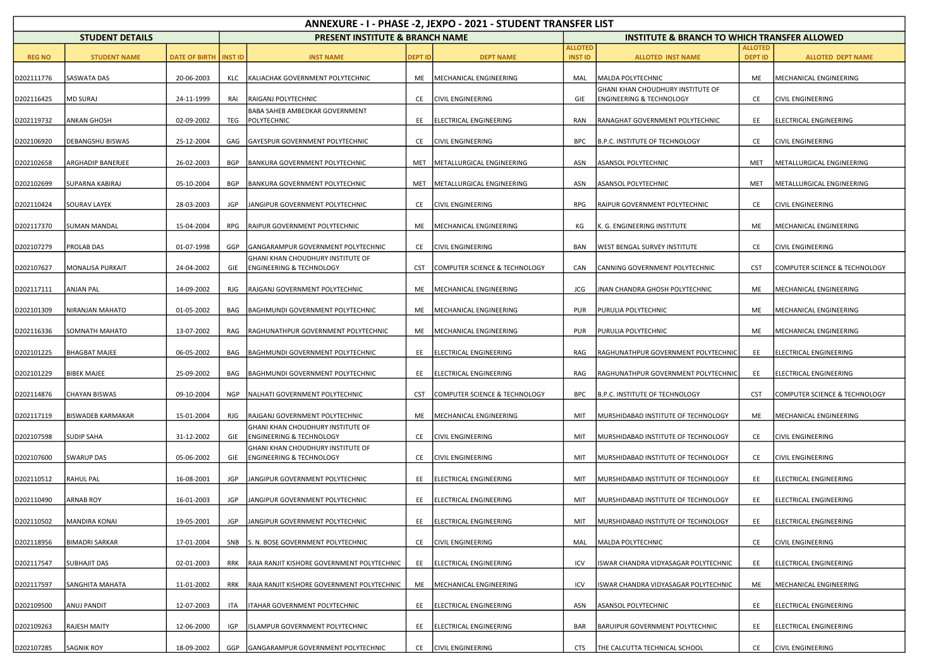|               | ANNEXURE - I - PHASE -2, JEXPO - 2021 - STUDENT TRANSFER LIST |                      |                |                                                                          |                |                                 |                                  |                                                                          |                                  |                               |  |  |  |
|---------------|---------------------------------------------------------------|----------------------|----------------|--------------------------------------------------------------------------|----------------|---------------------------------|----------------------------------|--------------------------------------------------------------------------|----------------------------------|-------------------------------|--|--|--|
|               | <b>STUDENT DETAILS</b>                                        |                      |                | <b>PRESENT INSTITUTE &amp; BRANCH NAME</b>                               |                |                                 |                                  | <b>INSTITUTE &amp; BRANCH TO WHICH TRANSFER ALLOWED</b>                  |                                  |                               |  |  |  |
| <b>REG NO</b> | <b>STUDENT NAME</b>                                           | <b>DATE OF BIRTH</b> | <b>INST ID</b> | <b>INST NAME</b>                                                         | <b>DEPT ID</b> | <b>DEPT NAME</b>                | <b>ALLOTED</b><br><b>INST ID</b> | <b>ALLOTED INST NAME</b>                                                 | <b>ALLOTED</b><br><b>DEPT ID</b> | <b>ALLOTED DEPT NAME</b>      |  |  |  |
| D202111776    | SASWATA DAS                                                   | 20-06-2003           | KLC            | KALIACHAK GOVERNMENT POLYTECHNIC                                         | ME             | MECHANICAL ENGINEERING          | MAL                              | MALDA POLYTECHNIC                                                        | ME                               | MECHANICAL ENGINEERING        |  |  |  |
| D202116425    | <b>MD SURAJ</b>                                               | 24-11-1999           | RAI            | RAIGANJ POLYTECHNIC                                                      | CE             | <b>CIVIL ENGINEERING</b>        | GIE                              | GHANI KHAN CHOUDHURY INSTITUTE OF<br><b>ENGINEERING &amp; TECHNOLOGY</b> | CE                               | CIVIL ENGINEERING             |  |  |  |
| D202119732    | <b>ANKAN GHOSH</b>                                            | 02-09-2002           | TEG            | BABA SAHEB AMBEDKAR GOVERNMENT<br>POLYTECHNIC                            | EE             | ELECTRICAL ENGINEERING          | RAN                              | RANAGHAT GOVERNMENT POLYTECHNIC                                          | EE                               | ELECTRICAL ENGINEERING        |  |  |  |
| D202106920    | DEBANGSHU BISWAS                                              | 25-12-2004           | GAG            | <b>GAYESPUR GOVERNMENT POLYTECHNIC</b>                                   | CE             | <b>CIVIL ENGINEERING</b>        | <b>BPC</b>                       | B.P.C. INSTITUTE OF TECHNOLOGY                                           | CE                               | <b>CIVIL ENGINEERING</b>      |  |  |  |
| D202102658    | ARGHADIP BANERJEE                                             | 26-02-2003           | BGP            | BANKURA GOVERNMENT POLYTECHNIC                                           | MET            | METALLURGICAL ENGINEERING       | ASN                              | <b>ASANSOL POLYTECHNIC</b>                                               | MET                              | METALLURGICAL ENGINEERING     |  |  |  |
| D202102699    | SUPARNA KABIRAJ                                               | 05-10-2004           | BGP            | <b>BANKURA GOVERNMENT POLYTECHNIC</b>                                    |                | MET   METALLURGICAL ENGINEERING | ASN                              | ASANSOL POLYTECHNIC                                                      | MET                              | METALLURGICAL ENGINEERING     |  |  |  |
| D202110424    | <b>SOURAV LAYEK</b>                                           | 28-03-2003           | <b>JGP</b>     | JANGIPUR GOVERNMENT POLYTECHNIC                                          |                | CE CIVIL ENGINEERING            | RPG                              | <b>RAIPUR GOVERNMENT POLYTECHNIC</b>                                     | CE                               | CIVIL ENGINEERING             |  |  |  |
| D202117370    | <b>SUMAN MANDAL</b>                                           | 15-04-2004           | RPG            | RAIPUR GOVERNMENT POLYTECHNIC                                            | ME             | MECHANICAL ENGINEERING          | КG                               | K. G. ENGINEERING INSTITUTE                                              | ME                               | MECHANICAL ENGINEERING        |  |  |  |
| D202107279    | PROLAB DAS                                                    | 01-07-1998           | GGP            | GANGARAMPUR GOVERNMENT POLYTECHNIC                                       | CE             | <b>CIVIL ENGINEERING</b>        | <b>BAN</b>                       | <b>WEST BENGAL SURVEY INSTITUTE</b>                                      | CE                               | CIVIL ENGINEERING             |  |  |  |
| D202107627    | MONALISA PURKAIT                                              | 24-04-2002           | GIE            | GHANI KHAN CHOUDHURY INSTITUTE OF<br><b>ENGINEERING &amp; TECHNOLOGY</b> | <b>CST</b>     | COMPUTER SCIENCE & TECHNOLOGY   | CAN                              | CANNING GOVERNMENT POLYTECHNIC                                           | <b>CST</b>                       | COMPUTER SCIENCE & TECHNOLOGY |  |  |  |
| D202117111    | ANJAN PAL                                                     | 14-09-2002           | RJG            | RAJGANJ GOVERNMENT POLYTECHNIC                                           | ME             | MECHANICAL ENGINEERING          | <b>JCG</b>                       | JNAN CHANDRA GHOSH POLYTECHNIC                                           | ME                               | MECHANICAL ENGINEERING        |  |  |  |
| D202101309    | NIRANJAN MAHATO                                               | 01-05-2002           | BAG            | BAGHMUNDI GOVERNMENT POLYTECHNIC                                         | ME             | MECHANICAL ENGINEERING          | <b>PUR</b>                       | PURULIA POLYTECHNIC                                                      | ME                               | MECHANICAL ENGINEERING        |  |  |  |
| D202116336    | SOMNATH MAHATO                                                | 13-07-2002           | RAG            | RAGHUNATHPUR GOVERNMENT POLYTECHNIC                                      | ME             | MECHANICAL ENGINEERING          | PUR                              | <b>PURULIA POLYTECHNIC</b>                                               | ME                               | MECHANICAL ENGINEERING        |  |  |  |
| D202101225    | <b>BHAGBAT MAJEE</b>                                          | 06-05-2002           | BAG            | BAGHMUNDI GOVERNMENT POLYTECHNIC                                         | EE             | ELECTRICAL ENGINEERING          | RAG                              | RAGHUNATHPUR GOVERNMENT POLYTECHNIC                                      | EE                               | ELECTRICAL ENGINEERING        |  |  |  |
| D202101229    | <b>BIBEK MAJEE</b>                                            | 25-09-2002           | BAG            | BAGHMUNDI GOVERNMENT POLYTECHNIC                                         | EE             | <b>ELECTRICAL ENGINEERING</b>   | RAG                              | RAGHUNATHPUR GOVERNMENT POLYTECHNIC                                      | EE                               | ELECTRICAL ENGINEERING        |  |  |  |
| D202114876    | CHAYAN BISWAS                                                 | 09-10-2004           | <b>NGP</b>     | NALHATI GOVERNMENT POLYTECHNIC                                           | <b>CST</b>     | COMPUTER SCIENCE & TECHNOLOGY   | <b>BPC</b>                       | B.P.C. INSTITUTE OF TECHNOLOGY                                           | <b>CST</b>                       | COMPUTER SCIENCE & TECHNOLOGY |  |  |  |
| D202117119    | <b>BISWADEB KARMAKAR</b>                                      | 15-01-2004           | RJG            | RAJGANJ GOVERNMENT POLYTECHNIC                                           | ME             | MECHANICAL ENGINEERING          | MIT                              | MURSHIDABAD INSTITUTE OF TECHNOLOGY                                      | ME                               | MECHANICAL ENGINEERING        |  |  |  |
| D202107598    | SUDIP SAHA                                                    | 31-12-2002           | GIE            | GHANI KHAN CHOUDHURY INSTITUTE OF<br><b>ENGINEERING &amp; TECHNOLOGY</b> | CE             | <b>CIVIL ENGINEERING</b>        | MIT                              | MURSHIDABAD INSTITUTE OF TECHNOLOGY                                      | CE                               | CIVIL ENGINEERING             |  |  |  |
| D202107600    | <b>SWARUP DAS</b>                                             | 05-06-2002           | GIE            | GHANI KHAN CHOUDHURY INSTITUTE OF<br><b>ENGINEERING &amp; TECHNOLOGY</b> | <b>CE</b>      | <b>CIVIL ENGINEERING</b>        | MIT                              | MURSHIDABAD INSTITUTE OF TECHNOLOGY                                      | CE                               | <b>CIVIL ENGINEERING</b>      |  |  |  |
| D202110512    | <b>RAHUL PAL</b>                                              | 16-08-2001           | JGP            | JANGIPUR GOVERNMENT POLYTECHNIC                                          | EE             | ELECTRICAL ENGINEERING          | MIT                              | MURSHIDABAD INSTITUTE OF TECHNOLOGY                                      | EE                               | ELECTRICAL ENGINEERING        |  |  |  |
| D202110490    | <b>ARNAB ROY</b>                                              | 16-01-2003           | JGP            | JANGIPUR GOVERNMENT POLYTECHNIC                                          | EE             | ELECTRICAL ENGINEERING          | MIT                              | MURSHIDABAD INSTITUTE OF TECHNOLOGY                                      | EE                               | ELECTRICAL ENGINEERING        |  |  |  |
| D202110502    | <b>MANDIRA KONAI</b>                                          | 19-05-2001           | <b>JGP</b>     | JANGIPUR GOVERNMENT POLYTECHNIC                                          | EE             | ELECTRICAL ENGINEERING          | MIT                              | MURSHIDABAD INSTITUTE OF TECHNOLOGY                                      | EE                               | ELECTRICAL ENGINEERING        |  |  |  |
| D202118956    | <b>BIMADRI SARKAR</b>                                         | 17-01-2004           | SNB            | S. N. BOSE GOVERNMENT POLYTECHNIC                                        | CE             | <b>CIVIL ENGINEERING</b>        | MAL                              | MALDA POLYTECHNIC                                                        | CE                               | CIVIL ENGINEERING             |  |  |  |
| D202117547    | SUBHAJIT DAS                                                  | 02-01-2003           | <b>RRK</b>     | RAJA RANJIT KISHORE GOVERNMENT POLYTECHNIC                               | EE             | ELECTRICAL ENGINEERING          | ICV                              | ISWAR CHANDRA VIDYASAGAR POLYTECHNIC                                     | EE                               | ELECTRICAL ENGINEERING        |  |  |  |
| D202117597    | SANGHITA MAHATA                                               | 11-01-2002           | <b>RRK</b>     | RAJA RANJIT KISHORE GOVERNMENT POLYTECHNIC                               | ME             | MECHANICAL ENGINEERING          | ICV                              | ISWAR CHANDRA VIDYASAGAR POLYTECHNIC                                     | ME                               | MECHANICAL ENGINEERING        |  |  |  |
| D202109500    | ANUJ PANDIT                                                   | 12-07-2003           | ITA            | <b>ITAHAR GOVERNMENT POLYTECHNIC</b>                                     | EE             | ELECTRICAL ENGINEERING          | ASN                              | ASANSOL POLYTECHNIC                                                      | EE                               | ELECTRICAL ENGINEERING        |  |  |  |
| D202109263    | RAJESH MAITY                                                  | 12-06-2000           | IGP            | ISLAMPUR GOVERNMENT POLYTECHNIC                                          | EE             | ELECTRICAL ENGINEERING          | BAR                              | <b>BARUIPUR GOVERNMENT POLYTECHNIC</b>                                   | EE                               | ELECTRICAL ENGINEERING        |  |  |  |
| D202107285    | <b>SAGNIK ROY</b>                                             | 18-09-2002           | GGP            | GANGARAMPUR GOVERNMENT POLYTECHNIC                                       |                | CE CIVIL ENGINEERING            | CTS                              | THE CALCUTTA TECHNICAL SCHOOL                                            | CE                               | <b>CIVIL ENGINEERING</b>      |  |  |  |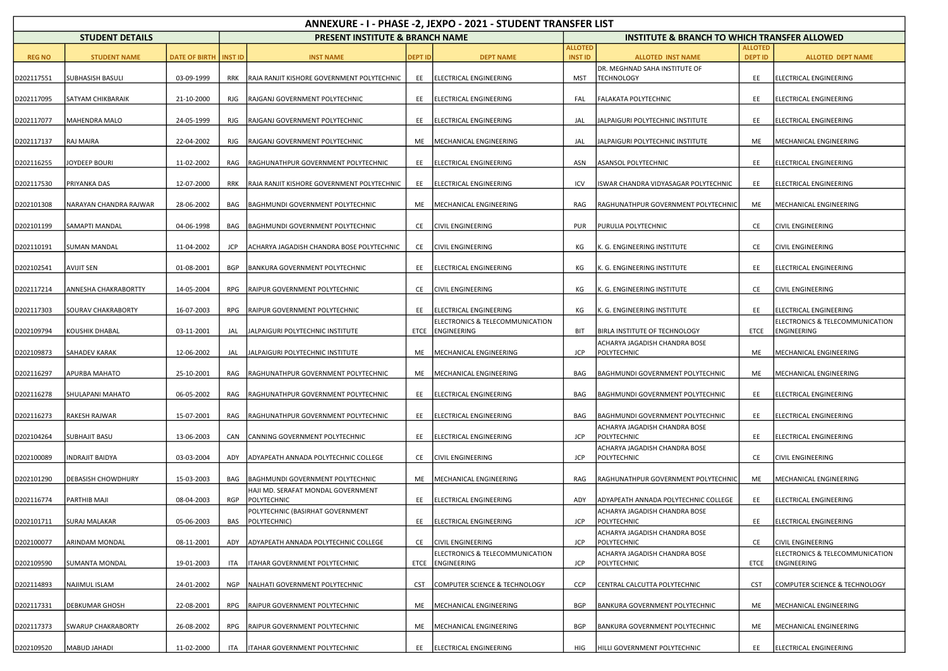| ANNEXURE - I - PHASE -2, JEXPO - 2021 - STUDENT TRANSFER LIST |                           |                                |            |                                                      |            |                                                     |                                  |                                                         |                                  |                                                       |  |
|---------------------------------------------------------------|---------------------------|--------------------------------|------------|------------------------------------------------------|------------|-----------------------------------------------------|----------------------------------|---------------------------------------------------------|----------------------------------|-------------------------------------------------------|--|
|                                                               | <b>STUDENT DETAILS</b>    |                                |            | <b>PRESENT INSTITUTE &amp; BRANCH NAME</b>           |            |                                                     |                                  | <b>INSTITUTE &amp; BRANCH TO WHICH TRANSFER ALLOWED</b> |                                  |                                                       |  |
| <b>REG NO</b>                                                 | <b>STUDENT NAME</b>       | <b>DATE OF BIRTH   INST ID</b> |            | <b>INST NAME</b>                                     | DEPT ID    | <b>DEPT NAME</b>                                    | <b>ALLOTED</b><br><b>INST ID</b> | <b>ALLOTED INST NAME</b>                                | <b>ALLOTED</b><br><b>DEPT ID</b> | <b>ALLOTED DEPT NAME</b>                              |  |
| D202117551                                                    | SUBHASISH BASULI          | 03-09-1999                     | <b>RRK</b> | RAJA RANJIT KISHORE GOVERNMENT POLYTECHNIC           | EE         | ELECTRICAL ENGINEERING                              | MST                              | DR. MEGHNAD SAHA INSTITUTE OF<br><b>TECHNOLOGY</b>      | EE                               | ELECTRICAL ENGINEERING                                |  |
| D202117095                                                    | SATYAM CHIKBARAIK         | 21-10-2000                     | RJG        | RAJGANJ GOVERNMENT POLYTECHNIC                       | EE         | ELECTRICAL ENGINEERING                              | FAL                              | FALAKATA POLYTECHNIC                                    | EE                               | ELECTRICAL ENGINEERING                                |  |
| D202117077                                                    | MAHENDRA MALO             | 24-05-1999                     | <b>RJG</b> | RAJGANJ GOVERNMENT POLYTECHNIC                       | EE         | ELECTRICAL ENGINEERING                              | JAL                              | JALPAIGURI POLYTECHNIC INSTITUTE                        | EE                               | ELECTRICAL ENGINEERING                                |  |
| D202117137                                                    | RAJ MAIRA                 | 22-04-2002                     | RJG        | RAJGANJ GOVERNMENT POLYTECHNIC                       | ME         | MECHANICAL ENGINEERING                              | JAL                              | JALPAIGURI POLYTECHNIC INSTITUTE                        | ME                               | MECHANICAL ENGINEERING                                |  |
| D202116255                                                    | JOYDEEP BOURI             | 11-02-2002                     | RAG        | RAGHUNATHPUR GOVERNMENT POLYTECHNIC                  | EE         | ELECTRICAL ENGINEERING                              | ASN                              | ASANSOL POLYTECHNIC                                     | EE                               | <b>ELECTRICAL ENGINEERING</b>                         |  |
| D202117530                                                    | PRIYANKA DAS              | 12-07-2000                     | <b>RRK</b> | RAJA RANJIT KISHORE GOVERNMENT POLYTECHNIC           | EE         | ELECTRICAL ENGINEERING                              | ICV                              | ISWAR CHANDRA VIDYASAGAR POLYTECHNIC                    | EE                               | ELECTRICAL ENGINEERING                                |  |
| D202101308                                                    | NARAYAN CHANDRA RAJWAR    | 28-06-2002                     | BAG        | BAGHMUNDI GOVERNMENT POLYTECHNIC                     |            | ME   MECHANICAL ENGINEERING                         | RAG                              | RAGHUNATHPUR GOVERNMENT POLYTECHNIC                     | ME                               | MECHANICAL ENGINEERING                                |  |
| D202101199                                                    | SAMAPTI MANDAL            | 04-06-1998                     | BAG        | BAGHMUNDI GOVERNMENT POLYTECHNIC                     | CE         | <b>CIVIL ENGINEERING</b>                            | <b>PUR</b>                       | PURULIA POLYTECHNIC                                     | CE                               | <b>CIVIL ENGINEERING</b>                              |  |
| D202110191                                                    | <b>SUMAN MANDAL</b>       | 11-04-2002                     | <b>JCP</b> | ACHARYA JAGADISH CHANDRA BOSE POLYTECHNIC            | CE         | <b>CIVIL ENGINEERING</b>                            | КG                               | K. G. ENGINEERING INSTITUTE                             | CE                               | <b>CIVIL ENGINEERING</b>                              |  |
| D202102541                                                    | <b>AVIJIT SEN</b>         | 01-08-2001                     | <b>BGP</b> | BANKURA GOVERNMENT POLYTECHNIC                       | EE         | <b>ELECTRICAL ENGINEERING</b>                       | КG                               | K. G. ENGINEERING INSTITUTE                             | EE                               | ELECTRICAL ENGINEERING                                |  |
| D202117214                                                    | ANNESHA CHAKRABORTTY      | 14-05-2004                     | <b>RPG</b> | RAIPUR GOVERNMENT POLYTECHNIC                        | CE         | <b>CIVIL ENGINEERING</b>                            | КG                               | K. G. ENGINEERING INSTITUTE                             | CE                               | CIVIL ENGINEERING                                     |  |
| D202117303                                                    | SOURAV CHAKRABORTY        | 16-07-2003                     | RPG        | RAIPUR GOVERNMENT POLYTECHNIC                        | EE         | ELECTRICAL ENGINEERING                              | КG                               | K. G. ENGINEERING INSTITUTE                             | EE                               | ELECTRICAL ENGINEERING                                |  |
| D202109794                                                    | KOUSHIK DHABAL            | 03-11-2001                     | JAL        | JALPAIGURI POLYTECHNIC INSTITUTE                     |            | ELECTRONICS & TELECOMMUNICATION<br>ETCE ENGINEERING | BIT                              | BIRLA INSTITUTE OF TECHNOLOGY                           | ETCE                             | ELECTRONICS & TELECOMMUNICATION<br><b>ENGINEERING</b> |  |
| D202109873                                                    | SAHADEV KARAK             | 12-06-2002                     | JAL        | JALPAIGURI POLYTECHNIC INSTITUTE                     | ME         | MECHANICAL ENGINEERING                              | JCP                              | ACHARYA JAGADISH CHANDRA BOSE<br>POLYTECHNIC            | ME                               | MECHANICAL ENGINEERING                                |  |
| D202116297                                                    | APURBA MAHATO             | 25-10-2001                     | RAG        | RAGHUNATHPUR GOVERNMENT POLYTECHNIC                  | ME         | MECHANICAL ENGINEERING                              | BAG                              | BAGHMUNDI GOVERNMENT POLYTECHNIC                        | ME                               | MECHANICAL ENGINEERING                                |  |
| D202116278                                                    | SHULAPANI MAHATO          | 06-05-2002                     | RAG        | RAGHUNATHPUR GOVERNMENT POLYTECHNIC                  | EE         | ELECTRICAL ENGINEERING                              | BAG                              | BAGHMUNDI GOVERNMENT POLYTECHNIC                        | EE                               | ELECTRICAL ENGINEERING                                |  |
| D202116273                                                    | RAKESH RAJWAR             | 15-07-2001                     | RAG        | RAGHUNATHPUR GOVERNMENT POLYTECHNIC                  | EE         | ELECTRICAL ENGINEERING                              | BAG                              | BAGHMUNDI GOVERNMENT POLYTECHNIC                        | EE                               | ELECTRICAL ENGINEERING                                |  |
| D202104264                                                    | <b>SUBHAJIT BASU</b>      | 13-06-2003                     | CAN        | CANNING GOVERNMENT POLYTECHNIC                       | EE         | ELECTRICAL ENGINEERING                              | JCP                              | ACHARYA JAGADISH CHANDRA BOSE<br>POLYTECHNIC            | EE                               | ELECTRICAL ENGINEERING                                |  |
| D202100089                                                    | <b>NDRAJIT BAIDYA</b>     | 03-03-2004                     | ADY        | ADYAPEATH ANNADA POLYTECHNIC COLLEGE                 | CE         | <b>CIVIL ENGINEERING</b>                            | JCP                              | ACHARYA JAGADISH CHANDRA BOSE<br>POLYTECHNIC            | CE                               | CIVIL ENGINEERING                                     |  |
| D202101290                                                    | DEBASISH CHOWDHURY        | 15-03-2003                     | BAG        | BAGHMUNDI GOVERNMENT POLYTECHNIC                     | ME         | MECHANICAL ENGINEERING                              | RAG                              | RAGHUNATHPUR GOVERNMENT POLYTECHNIC                     | ME                               | MECHANICAL ENGINEERING                                |  |
| D202116774                                                    | PARTHIB MAJI              | 08-04-2003                     | RGP        | HAJI MD. SERAFAT MONDAL GOVERNMENT<br>POLYTECHNIC    | EE         | ELECTRICAL ENGINEERING                              | ADY                              | ADYAPEATH ANNADA POLYTECHNIC COLLEGE                    | EE                               | ELECTRICAL ENGINEERING                                |  |
|                                                               | D202101711 SURAJ MALAKAR  | 05-06-2003                     |            | POLYTECHNIC (BASIRHAT GOVERNMENT<br>BAS POLYTECHNIC) | EE         | ELECTRICAL ENGINEERING                              | JCP                              | ACHARYA JAGADISH CHANDRA BOSE<br>POLYTECHNIC            | EE                               | ELECTRICAL ENGINEERING                                |  |
| D202100077                                                    | ARINDAM MONDAL            | 08-11-2001                     | ADY        | ADYAPEATH ANNADA POLYTECHNIC COLLEGE                 | CE         | <b>CIVIL ENGINEERING</b>                            | <b>JCP</b>                       | ACHARYA JAGADISH CHANDRA BOSE<br>POLYTECHNIC            | CE                               | <b>CIVIL ENGINEERING</b>                              |  |
| D202109590                                                    | <b>SUMANTA MONDAL</b>     | 19-01-2003                     | ITA        | ITAHAR GOVERNMENT POLYTECHNIC                        |            | ELECTRONICS & TELECOMMUNICATION<br>ETCE ENGINEERING | <b>JCP</b>                       | ACHARYA JAGADISH CHANDRA BOSE<br>POLYTECHNIC            | ETCE                             | ELECTRONICS & TELECOMMUNICATION<br>ENGINEERING        |  |
| D202114893                                                    | NAJIMUL ISLAM             | 24-01-2002                     | <b>NGP</b> | NALHATI GOVERNMENT POLYTECHNIC                       | <b>CST</b> | COMPUTER SCIENCE & TECHNOLOGY                       | <b>CCP</b>                       | CENTRAL CALCUTTA POLYTECHNIC                            | CST                              | COMPUTER SCIENCE & TECHNOLOGY                         |  |
| D202117331                                                    | DEBKUMAR GHOSH            | 22-08-2001                     | <b>RPG</b> | RAIPUR GOVERNMENT POLYTECHNIC                        | ME         | MECHANICAL ENGINEERING                              | <b>BGP</b>                       | BANKURA GOVERNMENT POLYTECHNIC                          | ME                               | MECHANICAL ENGINEERING                                |  |
| D202117373                                                    | <b>SWARUP CHAKRABORTY</b> | 26-08-2002                     | RPG        | RAIPUR GOVERNMENT POLYTECHNIC                        | ME         | MECHANICAL ENGINEERING                              | <b>BGP</b>                       | BANKURA GOVERNMENT POLYTECHNIC                          | ME                               | MECHANICAL ENGINEERING                                |  |
| D202109520                                                    | MABUD JAHADI              | 11-02-2000                     | ITA        | ITAHAR GOVERNMENT POLYTECHNIC                        |            | EE ELECTRICAL ENGINEERING                           | HIG                              | HILLI GOVERNMENT POLYTECHNIC                            | EE                               | ELECTRICAL ENGINEERING                                |  |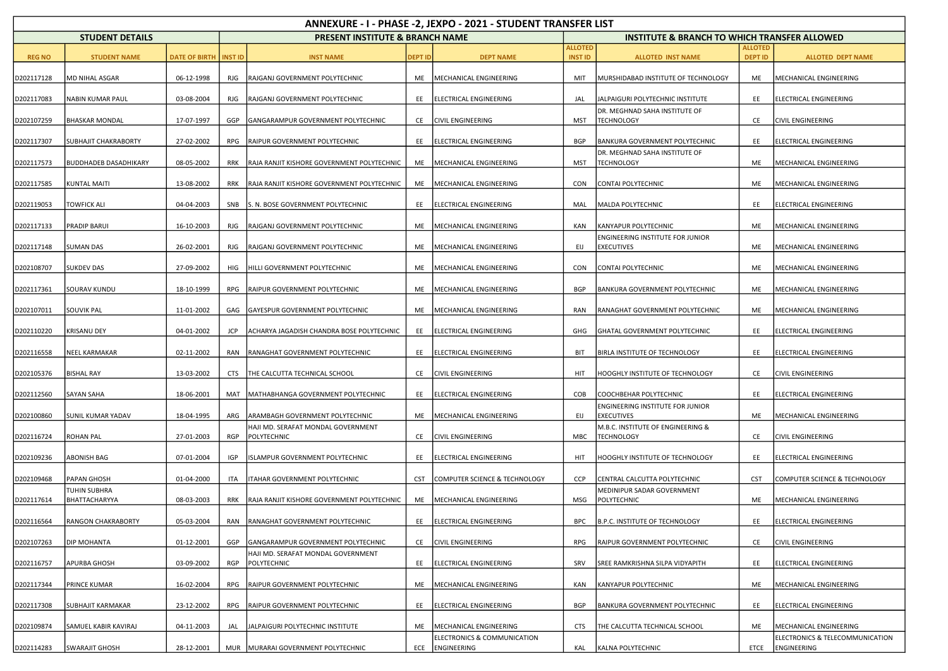| ANNEXURE - I - PHASE -2, JEXPO - 2021 - STUDENT TRANSFER LIST |                        |                                |            |                                                   |                |                                            |                                  |                                                              |                                  |                                                |  |
|---------------------------------------------------------------|------------------------|--------------------------------|------------|---------------------------------------------------|----------------|--------------------------------------------|----------------------------------|--------------------------------------------------------------|----------------------------------|------------------------------------------------|--|
|                                                               | <b>STUDENT DETAILS</b> |                                |            | <b>PRESENT INSTITUTE &amp; BRANCH NAME</b>        |                |                                            |                                  | <b>INSTITUTE &amp; BRANCH TO WHICH TRANSFER ALLOWED</b>      |                                  |                                                |  |
| <b>REG NO</b>                                                 | <b>STUDENT NAME</b>    | <b>DATE OF BIRTH   INST ID</b> |            | <b>INST NAME</b>                                  | <b>DEPT ID</b> | <b>DEPT NAME</b>                           | <b>ALLOTED</b><br><b>INST ID</b> | <b>ALLOTED INST NAME</b>                                     | <b>ALLOTED</b><br><b>DEPT ID</b> | <b>ALLOTED DEPT NAME</b>                       |  |
|                                                               |                        |                                |            |                                                   |                |                                            |                                  |                                                              |                                  |                                                |  |
| D202117128                                                    | MD NIHAL ASGAR         | 06-12-1998                     | RJG        | RAJGANJ GOVERNMENT POLYTECHNIC                    | ME             | MECHANICAL ENGINEERING                     | MIT                              | MURSHIDABAD INSTITUTE OF TECHNOLOGY                          | ME                               | MECHANICAL ENGINEERING                         |  |
| D202117083                                                    | NABIN KUMAR PAUL       | 03-08-2004                     | <b>RJG</b> | RAJGANJ GOVERNMENT POLYTECHNIC                    | EE             | ELECTRICAL ENGINEERING                     | JAL                              | JALPAIGURI POLYTECHNIC INSTITUTE                             | EE                               | ELECTRICAL ENGINEERING                         |  |
| D202107259                                                    | BHASKAR MONDAL         | 17-07-1997                     | GGP        | GANGARAMPUR GOVERNMENT POLYTECHNIC                | CE             | <b>CIVIL ENGINEERING</b>                   | MST                              | DR. MEGHNAD SAHA INSTITUTE OF<br><b>TECHNOLOGY</b>           | CE                               | CIVIL ENGINEERING                              |  |
| D202117307                                                    | SUBHAJIT CHAKRABORTY   | 27-02-2002                     | RPG        | RAIPUR GOVERNMENT POLYTECHNIC                     | EE             | ELECTRICAL ENGINEERING                     | <b>BGP</b>                       | <b>BANKURA GOVERNMENT POLYTECHNIC</b>                        | EE                               | ELECTRICAL ENGINEERING                         |  |
| D202117573                                                    | BUDDHADEB DASADHIKARY  | 08-05-2002                     | RRK        | RAJA RANJIT KISHORE GOVERNMENT POLYTECHNIC        | ME             | MECHANICAL ENGINEERING                     | MST                              | DR. MEGHNAD SAHA INSTITUTE OF<br><b>TECHNOLOGY</b>           | ME                               | MECHANICAL ENGINEERING                         |  |
|                                                               |                        |                                |            |                                                   |                |                                            |                                  |                                                              |                                  |                                                |  |
| D202117585                                                    | <b>KUNTAL MAITI</b>    | 13-08-2002                     | RRK        | RAJA RANJIT KISHORE GOVERNMENT POLYTECHNIC        | ME             | MECHANICAL ENGINEERING                     | <b>CON</b>                       | CONTAI POLYTECHNIC                                           | ME                               | MECHANICAL ENGINEERING                         |  |
| D202119053                                                    | <b>TOWFICK ALI</b>     | 04-04-2003                     | SNB        | S. N. BOSE GOVERNMENT POLYTECHNIC                 | EE             | ELECTRICAL ENGINEERING                     | MAL                              | MALDA POLYTECHNIC                                            | EE                               | ELECTRICAL ENGINEERING                         |  |
| D202117133                                                    | PRADIP BARUI           | 16-10-2003                     | RJG        | RAJGANJ GOVERNMENT POLYTECHNIC                    | ME             | MECHANICAL ENGINEERING                     | KAN                              | KANYAPUR POLYTECHNIC                                         | ME                               | MECHANICAL ENGINEERING                         |  |
|                                                               |                        |                                |            |                                                   |                |                                            |                                  | <b>ENGINEERING INSTITUTE FOR JUNIOR</b>                      |                                  |                                                |  |
| D202117148                                                    | <b>SUMAN DAS</b>       | 26-02-2001                     | RJG        | RAJGANJ GOVERNMENT POLYTECHNIC                    | ME             | MECHANICAL ENGINEERING                     | EIJ                              | <b>EXECUTIVES</b>                                            | ME                               | MECHANICAL ENGINEERING                         |  |
| D202108707                                                    | <b>SUKDEV DAS</b>      | 27-09-2002                     | HIG        | HILLI GOVERNMENT POLYTECHNIC                      | ME             | MECHANICAL ENGINEERING                     | CON                              | CONTAI POLYTECHNIC                                           | ME                               | MECHANICAL ENGINEERING                         |  |
| D202117361                                                    | SOURAV KUNDU           | 18-10-1999                     | <b>RPG</b> | RAIPUR GOVERNMENT POLYTECHNIC                     | ME             | MECHANICAL ENGINEERING                     | <b>BGP</b>                       | <b>BANKURA GOVERNMENT POLYTECHNIC</b>                        | ME                               | MECHANICAL ENGINEERING                         |  |
| D202107011                                                    | SOUVIK PAL             | 11-01-2002                     | GAG        | GAYESPUR GOVERNMENT POLYTECHNIC                   | ME             | MECHANICAL ENGINEERING                     | RAN                              | RANAGHAT GOVERNMENT POLYTECHNIC                              | ME                               | MECHANICAL ENGINEERING                         |  |
| D202110220                                                    | KRISANU DEY            | 04-01-2002                     | JCP        | ACHARYA JAGADISH CHANDRA BOSE POLYTECHNIC         | EE             | ELECTRICAL ENGINEERING                     | GHG                              | <b>GHATAL GOVERNMENT POLYTECHNIC</b>                         | EE                               | ELECTRICAL ENGINEERING                         |  |
| D202116558                                                    | NEEL KARMAKAR          | 02-11-2002                     | RAN        | RANAGHAT GOVERNMENT POLYTECHNIC                   | EE             | ELECTRICAL ENGINEERING                     | BIT                              | BIRLA INSTITUTE OF TECHNOLOGY                                | EE                               | ELECTRICAL ENGINEERING                         |  |
| D202105376                                                    | <b>BISHAL RAY</b>      | 13-03-2002                     | <b>CTS</b> | THE CALCUTTA TECHNICAL SCHOOL                     | CE             | <b>CIVIL ENGINEERING</b>                   | HIT                              | HOOGHLY INSTITUTE OF TECHNOLOGY                              | CE                               | <b>CIVIL ENGINEERING</b>                       |  |
|                                                               |                        |                                |            |                                                   |                |                                            |                                  |                                                              |                                  |                                                |  |
| D202112560                                                    | SAYAN SAHA             | 18-06-2001                     | MAT        | MATHABHANGA GOVERNMENT POLYTECHNIC                | EE             | ELECTRICAL ENGINEERING                     | COB                              | COOCHBEHAR POLYTECHNIC                                       | EE                               | ELECTRICAL ENGINEERING                         |  |
| D202100860                                                    | SUNIL KUMAR YADAV      | 18-04-1995                     | ARG        | ARAMBAGH GOVERNMENT POLYTECHNIC                   | ME             | MECHANICAL ENGINEERING                     | EIJ                              | <b>ENGINEERING INSTITUTE FOR JUNIOR</b><br><b>EXECUTIVES</b> | ME                               | MECHANICAL ENGINEERING                         |  |
| D202116724                                                    | ROHAN PAL              | 27-01-2003                     | <b>RGP</b> | HAJI MD. SERAFAT MONDAL GOVERNMENT<br>POLYTECHNIC | CE             | <b>CIVIL ENGINEERING</b>                   | MBC                              | M.B.C. INSTITUTE OF ENGINEERING &<br><b>TECHNOLOGY</b>       | CE                               | CIVIL ENGINEERING                              |  |
| D202109236                                                    | ABONISH BAG            | 07-01-2004                     | IGP        | ISLAMPUR GOVERNMENT POLYTECHNIC                   | EE             | ELECTRICAL ENGINEERING                     | HIT                              | HOOGHLY INSTITUTE OF TECHNOLOGY                              | EE                               | ELECTRICAL ENGINEERING                         |  |
| D202109468                                                    | PAPAN GHOSH            | 01-04-2000                     | <b>ITA</b> | ITAHAR GOVERNMENT POLYTECHNIC                     | <b>CST</b>     | COMPUTER SCIENCE & TECHNOLOGY              | CCP                              | CENTRAL CALCUTTA POLYTECHNIC                                 | <b>CST</b>                       | COMPUTER SCIENCE & TECHNOLOGY                  |  |
|                                                               | TUHIN SUBHRA           |                                |            |                                                   |                |                                            |                                  | MEDINIPUR SADAR GOVERNMENT                                   |                                  |                                                |  |
| D202117614                                                    | BHATTACHARYYA          | 08-03-2003                     | RRK        | RAJA RANJIT KISHORE GOVERNMENT POLYTECHNIC        | ME             | MECHANICAL ENGINEERING                     | <b>MSG</b>                       | POLYTECHNIC                                                  | ME                               | MECHANICAL ENGINEERING                         |  |
| D202116564                                                    | RANGON CHAKRABORTY     | 05-03-2004                     |            | RAN RANAGHAT GOVERNMENT POLYTECHNIC               | EE             | ELECTRICAL ENGINEERING                     | <b>BPC</b>                       | B.P.C. INSTITUTE OF TECHNOLOGY                               | EE                               | ELECTRICAL ENGINEERING                         |  |
| D202107263                                                    | DIP MOHANTA            | 01-12-2001                     | GGP        | GANGARAMPUR GOVERNMENT POLYTECHNIC                | CE             | <b>CIVIL ENGINEERING</b>                   | RPG                              | RAIPUR GOVERNMENT POLYTECHNIC                                | CE                               | CIVIL ENGINEERING                              |  |
| D202116757                                                    | APURBA GHOSH           | 03-09-2002                     | RGP        | HAJI MD. SERAFAT MONDAL GOVERNMENT<br>POLYTECHNIC | EE             | ELECTRICAL ENGINEERING                     | SRV                              | SREE RAMKRISHNA SILPA VIDYAPITH                              | EE                               | ELECTRICAL ENGINEERING                         |  |
|                                                               | PRINCE KUMAR           |                                |            |                                                   |                |                                            |                                  |                                                              |                                  |                                                |  |
| D202117344                                                    |                        | 16-02-2004                     | RPG        | RAIPUR GOVERNMENT POLYTECHNIC                     | ME             | MECHANICAL ENGINEERING                     | KAN                              | KANYAPUR POLYTECHNIC                                         | ME                               | MECHANICAL ENGINEERING                         |  |
| D202117308                                                    | SUBHAJIT KARMAKAR      | 23-12-2002                     | RPG        | RAIPUR GOVERNMENT POLYTECHNIC                     | EE             | ELECTRICAL ENGINEERING                     | BGP                              | <b>BANKURA GOVERNMENT POLYTECHNIC</b>                        | EE                               | ELECTRICAL ENGINEERING                         |  |
| D202109874                                                    | SAMUEL KABIR KAVIRAJ   | 04-11-2003                     | JAL        | JALPAIGURI POLYTECHNIC INSTITUTE                  | ME             | MECHANICAL ENGINEERING                     | <b>CTS</b>                       | THE CALCUTTA TECHNICAL SCHOOL                                | ME                               | MECHANICAL ENGINEERING                         |  |
| D202114283                                                    | <b>SWARAJIT GHOSH</b>  | 28-12-2001                     |            | MUR MURARAI GOVERNMENT POLYTECHNIC                | ECE            | ELECTRONICS & COMMUNICATION<br>ENGINEERING | KAL                              | KALNA POLYTECHNIC                                            | ETCE                             | ELECTRONICS & TELECOMMUNICATION<br>ENGINEERING |  |
|                                                               |                        |                                |            |                                                   |                |                                            |                                  |                                                              |                                  |                                                |  |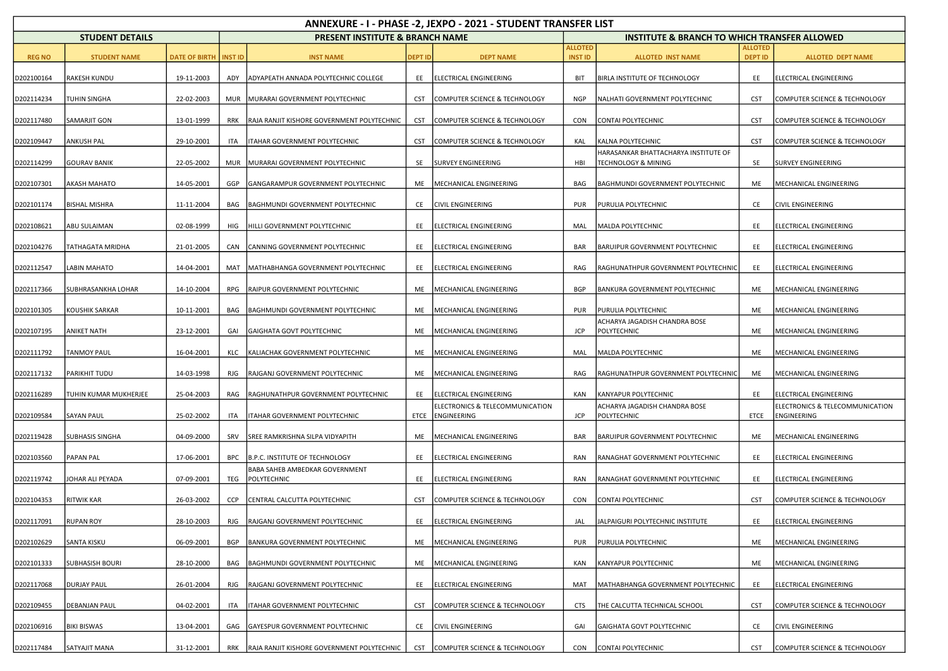| ANNEXURE - I - PHASE -2, JEXPO - 2021 - STUDENT TRANSFER LIST |                        |                                |            |                                               |                |                                                |                                  |                                                             |                                  |                                                |  |  |
|---------------------------------------------------------------|------------------------|--------------------------------|------------|-----------------------------------------------|----------------|------------------------------------------------|----------------------------------|-------------------------------------------------------------|----------------------------------|------------------------------------------------|--|--|
|                                                               | <b>STUDENT DETAILS</b> |                                |            | <b>PRESENT INSTITUTE &amp; BRANCH NAME</b>    |                |                                                |                                  | <b>INSTITUTE &amp; BRANCH TO WHICH TRANSFER ALLOWED</b>     |                                  |                                                |  |  |
| <b>REG NO</b>                                                 | <b>STUDENT NAME</b>    | <b>DATE OF BIRTH   INST ID</b> |            | <b>INST NAME</b>                              | <b>DEPT ID</b> | <b>DEPT NAME</b>                               | <b>ALLOTED</b><br><b>INST ID</b> | <b>ALLOTED INST NAME</b>                                    | <b>ALLOTED</b><br><b>DEPT ID</b> | <b>ALLOTED DEPT NAME</b>                       |  |  |
| D202100164                                                    | RAKESH KUNDU           | 19-11-2003                     | ADY        | ADYAPEATH ANNADA POLYTECHNIC COLLEGE          | EE             | ELECTRICAL ENGINEERING                         | BIT                              | <b>BIRLA INSTITUTE OF TECHNOLOGY</b>                        | EE                               | ELECTRICAL ENGINEERING                         |  |  |
| D202114234                                                    | TUHIN SINGHA           | 22-02-2003                     | <b>MUR</b> | MURARAI GOVERNMENT POLYTECHNIC                | <b>CST</b>     | COMPUTER SCIENCE & TECHNOLOGY                  | <b>NGP</b>                       | NALHATI GOVERNMENT POLYTECHNIC                              | <b>CST</b>                       | COMPUTER SCIENCE & TECHNOLOGY                  |  |  |
| D202117480                                                    | SAMARJIT GON           | 13-01-1999                     | RRK        | RAJA RANJIT KISHORE GOVERNMENT POLYTECHNIC    | <b>CST</b>     | COMPUTER SCIENCE & TECHNOLOGY                  | <b>CON</b>                       | CONTAI POLYTECHNIC                                          | <b>CST</b>                       | COMPUTER SCIENCE & TECHNOLOGY                  |  |  |
| D202109447                                                    | <b>ANKUSH PAL</b>      | 29-10-2001                     | ITA        | ITAHAR GOVERNMENT POLYTECHNIC                 | <b>CST</b>     | COMPUTER SCIENCE & TECHNOLOGY                  | KAL                              | KALNA POLYTECHNIC                                           | <b>CST</b>                       | COMPUTER SCIENCE & TECHNOLOGY                  |  |  |
| D202114299                                                    | <b>GOURAV BANIK</b>    | 22-05-2002                     | <b>MUR</b> | MURARAI GOVERNMENT POLYTECHNIC                | SE             | <b>SURVEY ENGINEERING</b>                      | HBI                              | HARASANKAR BHATTACHARYA INSTITUTE OF<br>TECHNOLOGY & MINING | SE                               | <b>SURVEY ENGINEERING</b>                      |  |  |
| D202107301                                                    | <b>AKASH MAHATO</b>    | 14-05-2001                     | GGP        | GANGARAMPUR GOVERNMENT POLYTECHNIC            | ME             | MECHANICAL ENGINEERING                         | BAG                              | <b>BAGHMUNDI GOVERNMENT POLYTECHNIC</b>                     | ME                               | MECHANICAL ENGINEERING                         |  |  |
| D202101174                                                    | BISHAL MISHRA          | 11-11-2004                     | BAG        | BAGHMUNDI GOVERNMENT POLYTECHNIC              | CE             | <b>CIVIL ENGINEERING</b>                       | <b>PUR</b>                       | PURULIA POLYTECHNIC                                         | CE                               | CIVIL ENGINEERING                              |  |  |
| D202108621                                                    | ABU SULAIMAN           | 02-08-1999                     | HIG        | HILLI GOVERNMENT POLYTECHNIC                  | EE             | ELECTRICAL ENGINEERING                         | MAL                              | MALDA POLYTECHNIC                                           | EE                               | ELECTRICAL ENGINEERING                         |  |  |
| D202104276                                                    | TATHAGATA MRIDHA       | 21-01-2005                     | CAN        | CANNING GOVERNMENT POLYTECHNIC                | EE             | ELECTRICAL ENGINEERING                         | BAR                              | <b>BARUIPUR GOVERNMENT POLYTECHNIC</b>                      | EE                               | ELECTRICAL ENGINEERING                         |  |  |
| D202112547                                                    | LABIN MAHATO           | 14-04-2001                     | MAT        | MATHABHANGA GOVERNMENT POLYTECHNIC            | EE             | ELECTRICAL ENGINEERING                         | RAG                              | RAGHUNATHPUR GOVERNMENT POLYTECHNIC                         | EE                               | ELECTRICAL ENGINEERING                         |  |  |
| D202117366                                                    | SUBHRASANKHA LOHAR     | 14-10-2004                     | RPG        | RAIPUR GOVERNMENT POLYTECHNIC                 | ME             | MECHANICAL ENGINEERING                         | <b>BGP</b>                       | <b>BANKURA GOVERNMENT POLYTECHNIC</b>                       | ME                               | MECHANICAL ENGINEERING                         |  |  |
| D202101305                                                    | KOUSHIK SARKAR         | 10-11-2001                     | BAG        | BAGHMUNDI GOVERNMENT POLYTECHNIC              | ME             | MECHANICAL ENGINEERING                         | <b>PUR</b>                       | PURULIA POLYTECHNIC                                         | ME                               | MECHANICAL ENGINEERING                         |  |  |
| D202107195                                                    | <b>ANIKET NATH</b>     | 23-12-2001                     | GAI        | GAIGHATA GOVT POLYTECHNIC                     | ME             | MECHANICAL ENGINEERING                         | JCP                              | ACHARYA JAGADISH CHANDRA BOSE<br>POLYTECHNIC                | ME                               | MECHANICAL ENGINEERING                         |  |  |
| D202111792                                                    | <b>TANMOY PAUL</b>     | 16-04-2001                     | KLC        | KALIACHAK GOVERNMENT POLYTECHNIC              | ME             | MECHANICAL ENGINEERING                         | MAL                              | MALDA POLYTECHNIC                                           | ME                               | MECHANICAL ENGINEERING                         |  |  |
| D202117132                                                    | PARIKHIT TUDU          | 14-03-1998                     | RJG        | RAJGANJ GOVERNMENT POLYTECHNIC                | ME             | MECHANICAL ENGINEERING                         | RAG                              | RAGHUNATHPUR GOVERNMENT POLYTECHNIC                         | ME                               | MECHANICAL ENGINEERING                         |  |  |
| D202116289                                                    | TUHIN KUMAR MUKHERJEE  | 25-04-2003                     | RAG        | RAGHUNATHPUR GOVERNMENT POLYTECHNIC           | EE             | ELECTRICAL ENGINEERING                         | KAN                              | KANYAPUR POLYTECHNIC                                        | EE                               | ELECTRICAL ENGINEERING                         |  |  |
| D202109584                                                    | <b>SAYAN PAUL</b>      | 25-02-2002                     | ITA        | ITAHAR GOVERNMENT POLYTECHNIC                 | ETCE           | ELECTRONICS & TELECOMMUNICATION<br>ENGINEERING | JCP                              | ACHARYA JAGADISH CHANDRA BOSE<br>POLYTECHNIC                | ETCE                             | ELECTRONICS & TELECOMMUNICATION<br>ENGINEERING |  |  |
| D202119428                                                    | <b>SUBHASIS SINGHA</b> | 04-09-2000                     | SRV        | SREE RAMKRISHNA SILPA VIDYAPITH               | ME             | MECHANICAL ENGINEERING                         | BAR                              | <b>BARUIPUR GOVERNMENT POLYTECHNIC</b>                      | ME                               | MECHANICAL ENGINEERING                         |  |  |
| D202103560                                                    | PAPAN PAL              | 17-06-2001                     | <b>BPC</b> | B.P.C. INSTITUTE OF TECHNOLOGY                | EE             | ELECTRICAL ENGINEERING                         | RAN                              | RANAGHAT GOVERNMENT POLYTECHNIC                             | EE                               | ELECTRICAL ENGINEERING                         |  |  |
| D202119742                                                    | IOHAR ALI PEYADA       | 07-09-2001                     | TEG        | BABA SAHEB AMBEDKAR GOVERNMENT<br>POLYTECHNIC | EE             | ELECTRICAL ENGINEERING                         | RAN                              | RANAGHAT GOVERNMENT POLYTECHNIC                             | EE                               | ELECTRICAL ENGINEERING                         |  |  |
| D202104353                                                    | RITWIK KAR             | 26-03-2002                     | <b>CCP</b> | CENTRAL CALCUTTA POLYTECHNIC                  | <b>CST</b>     | COMPUTER SCIENCE & TECHNOLOGY                  | <b>CON</b>                       | CONTAI POLYTECHNIC                                          | <b>CST</b>                       | COMPUTER SCIENCE & TECHNOLOGY                  |  |  |
| D202117091                                                    | <b>RUPAN ROY</b>       | 28-10-2003                     | <b>RJG</b> | RAJGANJ GOVERNMENT POLYTECHNIC                | EE             | ELECTRICAL ENGINEERING                         | JAL                              | JALPAIGURI POLYTECHNIC INSTITUTE                            | EE                               | ELECTRICAL ENGINEERING                         |  |  |
| D202102629                                                    | SANTA KISKU            | 06-09-2001                     | BGP        | BANKURA GOVERNMENT POLYTECHNIC                | ME             | MECHANICAL ENGINEERING                         | PUR                              | PURULIA POLYTECHNIC                                         | ME                               | MECHANICAL ENGINEERING                         |  |  |
| D202101333                                                    | <b>SUBHASISH BOURI</b> | 28-10-2000                     | BAG        | BAGHMUNDI GOVERNMENT POLYTECHNIC              | ME             | MECHANICAL ENGINEERING                         | KAN                              | <b>KANYAPUR POLYTECHNIC</b>                                 | ME                               | MECHANICAL ENGINEERING                         |  |  |
| D202117068                                                    | <b>DURJAY PAUL</b>     | 26-01-2004                     | RJG        | RAJGANJ GOVERNMENT POLYTECHNIC                | EE             | ELECTRICAL ENGINEERING                         | MAT                              | MATHABHANGA GOVERNMENT POLYTECHNIC                          | EE                               | ELECTRICAL ENGINEERING                         |  |  |
| D202109455                                                    | DEBANJAN PAUL          | 04-02-2001                     | ITA        | ITAHAR GOVERNMENT POLYTECHNIC                 | <b>CST</b>     | COMPUTER SCIENCE & TECHNOLOGY                  | <b>CTS</b>                       | THE CALCUTTA TECHNICAL SCHOOL                               | <b>CST</b>                       | COMPUTER SCIENCE & TECHNOLOGY                  |  |  |
| D202106916                                                    | BIKI BISWAS            | 13-04-2001                     | GAG        | GAYESPUR GOVERNMENT POLYTECHNIC               | CE             | CIVIL ENGINEERING                              | GAI                              | GAIGHATA GOVT POLYTECHNIC                                   | CE                               | CIVIL ENGINEERING                              |  |  |
| D202117484                                                    | SATYAJIT MANA          | 31-12-2001                     | RRK        | RAJA RANJIT KISHORE GOVERNMENT POLYTECHNIC    |                | CST COMPUTER SCIENCE & TECHNOLOGY              | CON                              | CONTAI POLYTECHNIC                                          | <b>CST</b>                       | COMPUTER SCIENCE & TECHNOLOGY                  |  |  |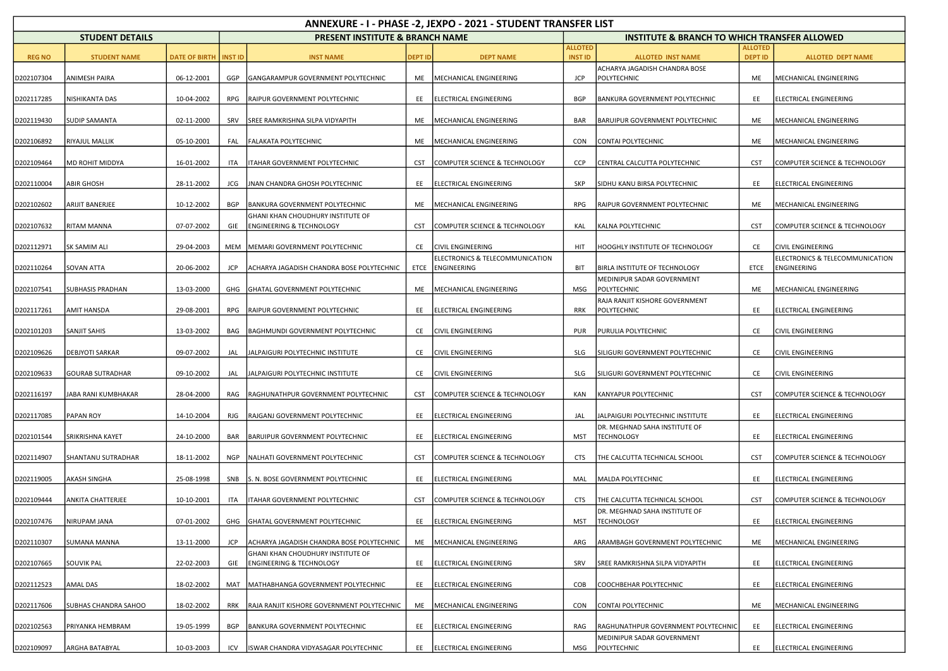| ANNEXURE - I - PHASE -2, JEXPO - 2021 - STUDENT TRANSFER LIST |                         |                      |                |                                                                          |                |                                                     |                                  |                                                         |                                  |                                                |  |  |
|---------------------------------------------------------------|-------------------------|----------------------|----------------|--------------------------------------------------------------------------|----------------|-----------------------------------------------------|----------------------------------|---------------------------------------------------------|----------------------------------|------------------------------------------------|--|--|
|                                                               | <b>STUDENT DETAILS</b>  |                      |                | <b>PRESENT INSTITUTE &amp; BRANCH NAME</b>                               |                |                                                     |                                  | <b>INSTITUTE &amp; BRANCH TO WHICH TRANSFER ALLOWED</b> |                                  |                                                |  |  |
| <b>REG NO</b>                                                 | <b>STUDENT NAME</b>     | <b>DATE OF BIRTH</b> | <b>INST ID</b> | <b>INST NAME</b>                                                         | <b>DEPT ID</b> | <b>DEPT NAME</b>                                    | <b>ALLOTED</b><br><b>INST ID</b> | <b>ALLOTED INST NAME</b>                                | <b>ALLOTED</b><br><b>DEPT ID</b> | <b>ALLOTED DEPT NAME</b>                       |  |  |
| D202107304                                                    | ANIMESH PAIRA           | 06-12-2001           | GGP            | GANGARAMPUR GOVERNMENT POLYTECHNIC                                       | ME             | MECHANICAL ENGINEERING                              | <b>JCP</b>                       | ACHARYA JAGADISH CHANDRA BOSE<br>POLYTECHNIC            | ME                               | MECHANICAL ENGINEERING                         |  |  |
| D202117285                                                    | NISHIKANTA DAS          | 10-04-2002           | <b>RPG</b>     | RAIPUR GOVERNMENT POLYTECHNIC                                            | EE             | ELECTRICAL ENGINEERING                              | <b>BGP</b>                       | BANKURA GOVERNMENT POLYTECHNIC                          | EE                               | ELECTRICAL ENGINEERING                         |  |  |
| D202119430                                                    | <b>SUDIP SAMANTA</b>    | 02-11-2000           | SRV            | SREE RAMKRISHNA SILPA VIDYAPITH                                          | ME             | MECHANICAL ENGINEERING                              | <b>BAR</b>                       | BARUIPUR GOVERNMENT POLYTECHNIC                         | ME                               | MECHANICAL ENGINEERING                         |  |  |
| D202106892                                                    | RIYAJUL MALLIK          | 05-10-2001           | FAL            | <b>FALAKATA POLYTECHNIC</b>                                              | ME             | MECHANICAL ENGINEERING                              | <b>CON</b>                       | <b>CONTAI POLYTECHNIC</b>                               | ME                               | MECHANICAL ENGINEERING                         |  |  |
| D202109464                                                    | MD ROHIT MIDDYA         | 16-01-2002           | ITA            | ITAHAR GOVERNMENT POLYTECHNIC                                            | <b>CST</b>     | COMPUTER SCIENCE & TECHNOLOGY                       | <b>CCP</b>                       | CENTRAL CALCUTTA POLYTECHNIC                            | <b>CST</b>                       | COMPUTER SCIENCE & TECHNOLOGY                  |  |  |
| D202110004                                                    | <b>ABIR GHOSH</b>       | 28-11-2002           | JCG            | JNAN CHANDRA GHOSH POLYTECHNIC                                           | EE             | ELECTRICAL ENGINEERING                              | <b>SKP</b>                       | SIDHU KANU BIRSA POLYTECHNIC                            | EE                               | ELECTRICAL ENGINEERING                         |  |  |
| D202102602                                                    | ARIJIT BANERJEE         | 10-12-2002           | BGP            | BANKURA GOVERNMENT POLYTECHNIC                                           | ME             | MECHANICAL ENGINEERING                              | RPG                              | RAIPUR GOVERNMENT POLYTECHNIC                           | ME                               | MECHANICAL ENGINEERING                         |  |  |
| D202107632                                                    | <b>RITAM MANNA</b>      | 07-07-2002           | GIE            | GHANI KHAN CHOUDHURY INSTITUTE OF<br><b>ENGINEERING &amp; TECHNOLOGY</b> | <b>CST</b>     | COMPUTER SCIENCE & TECHNOLOGY                       | KAL                              | KALNA POLYTECHNIC                                       | <b>CST</b>                       | COMPUTER SCIENCE & TECHNOLOGY                  |  |  |
| D202112971                                                    | SK SAMIM ALI            | 29-04-2003           | <b>MEM</b>     | MEMARI GOVERNMENT POLYTECHNIC                                            | CE             | <b>CIVIL ENGINEERING</b>                            | HIT                              | HOOGHLY INSTITUTE OF TECHNOLOGY                         | CE                               | CIVIL ENGINEERING                              |  |  |
| D202110264                                                    | SOVAN ATTA              | 20-06-2002           | <b>JCP</b>     | ACHARYA JAGADISH CHANDRA BOSE POLYTECHNIC                                |                | ELECTRONICS & TELECOMMUNICATION<br>ETCE ENGINEERING | <b>BIT</b>                       | BIRLA INSTITUTE OF TECHNOLOGY                           | ETCE                             | ELECTRONICS & TELECOMMUNICATION<br>ENGINEERING |  |  |
| D202107541                                                    | SUBHASIS PRADHAN        | 13-03-2000           | GHG            | GHATAL GOVERNMENT POLYTECHNIC                                            | ME             | MECHANICAL ENGINEERING                              | MSG                              | MEDINIPUR SADAR GOVERNMENT<br>POLYTECHNIC               | ME                               | MECHANICAL ENGINEERING                         |  |  |
| D202117261                                                    | AMIT HANSDA             | 29-08-2001           | RPG            | RAIPUR GOVERNMENT POLYTECHNIC                                            | EE             | ELECTRICAL ENGINEERING                              | RRK                              | RAJA RANJIT KISHORE GOVERNMENT<br>POLYTECHNIC           | EE                               | ELECTRICAL ENGINEERING                         |  |  |
| D202101203                                                    | <b>SANJIT SAHIS</b>     | 13-03-2002           | BAG            | BAGHMUNDI GOVERNMENT POLYTECHNIC                                         | CE             | <b>CIVIL ENGINEERING</b>                            | <b>PUR</b>                       | PURULIA POLYTECHNIC                                     | CE                               | CIVIL ENGINEERING                              |  |  |
| D202109626                                                    | <b>DEBJYOTI SARKAR</b>  | 09-07-2002           | JAL            | JALPAIGURI POLYTECHNIC INSTITUTE                                         | CE             | <b>CIVIL ENGINEERING</b>                            | <b>SLG</b>                       | SILIGURI GOVERNMENT POLYTECHNIC                         | CE                               | CIVIL ENGINEERING                              |  |  |
| D202109633                                                    | <b>GOURAB SUTRADHAR</b> | 09-10-2002           | JAL            | JALPAIGURI POLYTECHNIC INSTITUTE                                         | CE             | <b>CIVIL ENGINEERING</b>                            | SLG                              | SILIGURI GOVERNMENT POLYTECHNIC                         | CE                               | CIVIL ENGINEERING                              |  |  |
| D202116197                                                    | IABA RANI KUMBHAKAR     | 28-04-2000           | RAG            | RAGHUNATHPUR GOVERNMENT POLYTECHNIC                                      | <b>CST</b>     | COMPUTER SCIENCE & TECHNOLOGY                       | KAN                              | KANYAPUR POLYTECHNIC                                    | <b>CST</b>                       | COMPUTER SCIENCE & TECHNOLOGY                  |  |  |
| D202117085                                                    | PAPAN ROY               | 14-10-2004           | RJG            | RAJGANJ GOVERNMENT POLYTECHNIC                                           | EE             | ELECTRICAL ENGINEERING                              | JAL                              | JALPAIGURI POLYTECHNIC INSTITUTE                        | EE                               | ELECTRICAL ENGINEERING                         |  |  |
| D202101544                                                    | SRIKRISHNA KAYET        | 24-10-2000           | <b>BAR</b>     | BARUIPUR GOVERNMENT POLYTECHNIC                                          | EE             | ELECTRICAL ENGINEERING                              | <b>MST</b>                       | DR. MEGHNAD SAHA INSTITUTE OF<br><b>TECHNOLOGY</b>      | EE                               | ELECTRICAL ENGINEERING                         |  |  |
| D202114907                                                    | SHANTANU SUTRADHAR      | 18-11-2002           | <b>NGP</b>     | NALHATI GOVERNMENT POLYTECHNIC                                           | <b>CST</b>     | COMPUTER SCIENCE & TECHNOLOGY                       | <b>CTS</b>                       | THE CALCUTTA TECHNICAL SCHOOL                           | <b>CST</b>                       | COMPUTER SCIENCE & TECHNOLOGY                  |  |  |
| D202119005                                                    | AKASH SINGHA            | 25-08-1998           | SNB            | S. N. BOSE GOVERNMENT POLYTECHNIC                                        | EE             | ELECTRICAL ENGINEERING                              | MAL                              | MALDA POLYTECHNIC                                       | EE                               | ELECTRICAL ENGINEERING                         |  |  |
| D202109444                                                    | ANKITA CHATTERJEE       | 10-10-2001           | ITA            | ITAHAR GOVERNMENT POLYTECHNIC                                            | <b>CST</b>     | COMPUTER SCIENCE & TECHNOLOGY                       | <b>CTS</b>                       | THE CALCUTTA TECHNICAL SCHOOL                           | <b>CST</b>                       | COMPUTER SCIENCE & TECHNOLOGY                  |  |  |
| D202107476                                                    | NIRUPAM JANA            | 07-01-2002           |                | GHG GHATAL GOVERNMENT POLYTECHNIC                                        | EE             | ELECTRICAL ENGINEERING                              | <b>MST</b>                       | DR. MEGHNAD SAHA INSTITUTE OF<br>TECHNOLOGY             | EE                               | <b>ELECTRICAL ENGINEERING</b>                  |  |  |
| D202110307                                                    | SUMANA MANNA            | 13-11-2000           | JCP            | ACHARYA JAGADISH CHANDRA BOSE POLYTECHNIC                                | ME             | MECHANICAL ENGINEERING                              | ARG                              | ARAMBAGH GOVERNMENT POLYTECHNIC                         | ME                               | MECHANICAL ENGINEERING                         |  |  |
| D202107665                                                    | <b>SOUVIK PAL</b>       | 22-02-2003           | GIE            | GHANI KHAN CHOUDHURY INSTITUTE OF<br><b>ENGINEERING &amp; TECHNOLOGY</b> | EE             | ELECTRICAL ENGINEERING                              | SRV                              | SREE RAMKRISHNA SILPA VIDYAPITH                         | EE                               | ELECTRICAL ENGINEERING                         |  |  |
| D202112523                                                    | AMAL DAS                | 18-02-2002           | MAT            | MATHABHANGA GOVERNMENT POLYTECHNIC                                       | EE             | ELECTRICAL ENGINEERING                              | COB                              | COOCHBEHAR POLYTECHNIC                                  | EE                               | ELECTRICAL ENGINEERING                         |  |  |
| D202117606                                                    | SUBHAS CHANDRA SAHOO    | 18-02-2002           | <b>RRK</b>     | RAJA RANJIT KISHORE GOVERNMENT POLYTECHNIC                               | ME             | MECHANICAL ENGINEERING                              | CON                              | CONTAI POLYTECHNIC                                      | ME                               | MECHANICAL ENGINEERING                         |  |  |
| D202102563                                                    | PRIYANKA HEMBRAM        | 19-05-1999           | BGP            | BANKURA GOVERNMENT POLYTECHNIC                                           | EE             | ELECTRICAL ENGINEERING                              | RAG                              | RAGHUNATHPUR GOVERNMENT POLYTECHNIC                     | EE                               | ELECTRICAL ENGINEERING                         |  |  |
| D202109097                                                    | ARGHA BATABYAL          | 10-03-2003           | ICV            | ISWAR CHANDRA VIDYASAGAR POLYTECHNIC                                     | EE             | <b>ELECTRICAL ENGINEERING</b>                       | MSG                              | MEDINIPUR SADAR GOVERNMENT<br>POLYTECHNIC               | EE                               | ELECTRICAL ENGINEERING                         |  |  |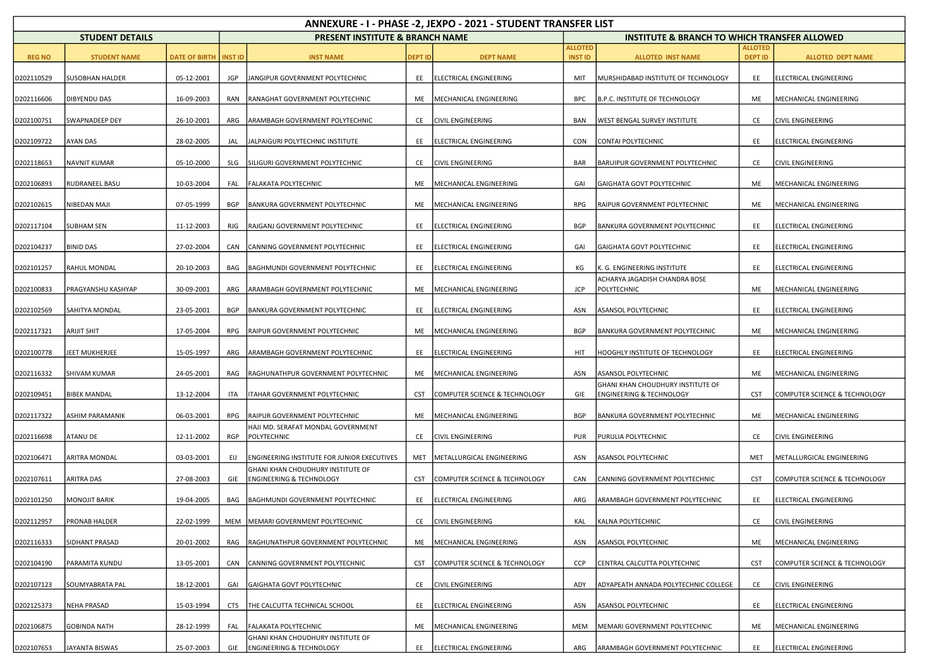| ANNEXURE - I - PHASE -2, JEXPO - 2021 - STUDENT TRANSFER LIST |                        |                                |            |                                                                          |                |                               |                                  |                                                                          |                                  |                               |  |  |
|---------------------------------------------------------------|------------------------|--------------------------------|------------|--------------------------------------------------------------------------|----------------|-------------------------------|----------------------------------|--------------------------------------------------------------------------|----------------------------------|-------------------------------|--|--|
|                                                               | <b>STUDENT DETAILS</b> |                                |            | <b>PRESENT INSTITUTE &amp; BRANCH NAME</b>                               |                |                               |                                  | <b>INSTITUTE &amp; BRANCH TO WHICH TRANSFER ALLOWED</b>                  |                                  |                               |  |  |
| <b>REG NO</b>                                                 | <b>STUDENT NAME</b>    | <b>DATE OF BIRTH   INST ID</b> |            | <b>INST NAME</b>                                                         | <b>DEPT ID</b> | <b>DEPT NAME</b>              | <b>ALLOTED</b><br><b>INST ID</b> | <b>ALLOTED INST NAME</b>                                                 | <b>ALLOTED</b><br><b>DEPT ID</b> | <b>ALLOTED DEPT NAME</b>      |  |  |
| D202110529                                                    | SUSOBHAN HALDER        | 05-12-2001                     | <b>JGP</b> | JANGIPUR GOVERNMENT POLYTECHNIC                                          | EE             | ELECTRICAL ENGINEERING        | MIT                              | MURSHIDABAD INSTITUTE OF TECHNOLOGY                                      | EE                               | ELECTRICAL ENGINEERING        |  |  |
| D202116606                                                    | DIBYENDU DAS           | 16-09-2003                     | RAN        | RANAGHAT GOVERNMENT POLYTECHNIC                                          | ME             | MECHANICAL ENGINEERING        | <b>BPC</b>                       | B.P.C. INSTITUTE OF TECHNOLOGY                                           | ME                               | MECHANICAL ENGINEERING        |  |  |
| D202100751                                                    | SWAPNADEEP DEY         | 26-10-2001                     | ARG        | ARAMBAGH GOVERNMENT POLYTECHNIC                                          | CE             | <b>CIVIL ENGINEERING</b>      | BAN                              | <b>WEST BENGAL SURVEY INSTITUTE</b>                                      | CE                               | <b>CIVIL ENGINEERING</b>      |  |  |
| D202109722                                                    | AYAN DAS               | 28-02-2005                     | JAL        | JALPAIGURI POLYTECHNIC INSTITUTE                                         | EE             | ELECTRICAL ENGINEERING        | <b>CON</b>                       | CONTAI POLYTECHNIC                                                       | EE                               | ELECTRICAL ENGINEERING        |  |  |
| D202118653                                                    | <b>NAVNIT KUMAR</b>    | 05-10-2000                     | SLG        | SILIGURI GOVERNMENT POLYTECHNIC                                          | CE             | <b>CIVIL ENGINEERING</b>      | BAR                              | <b>BARUIPUR GOVERNMENT POLYTECHNIC</b>                                   | CE                               | CIVIL ENGINEERING             |  |  |
| D202106893                                                    | RUDRANEEL BASU         | 10-03-2004                     | FAL        | FALAKATA POLYTECHNIC                                                     | ME             | MECHANICAL ENGINEERING        | GAI                              | GAIGHATA GOVT POLYTECHNIC                                                | ME                               | MECHANICAL ENGINEERING        |  |  |
| D202102615                                                    | NIBEDAN MAJI           | 07-05-1999                     | BGP        | BANKURA GOVERNMENT POLYTECHNIC                                           | ME             | MECHANICAL ENGINEERING        | RPG                              | RAIPUR GOVERNMENT POLYTECHNIC                                            | ME                               | MECHANICAL ENGINEERING        |  |  |
| D202117104                                                    | <b>SUBHAM SEN</b>      | 11-12-2003                     | RJG        | RAJGANJ GOVERNMENT POLYTECHNIC                                           | EE             | ELECTRICAL ENGINEERING        | BGP                              | BANKURA GOVERNMENT POLYTECHNIC                                           | EE                               | ELECTRICAL ENGINEERING        |  |  |
| D202104237                                                    | BINID DAS              | 27-02-2004                     | CAN        | CANNING GOVERNMENT POLYTECHNIC                                           | EE             | <b>ELECTRICAL ENGINEERING</b> | GAI                              | GAIGHATA GOVT POLYTECHNIC                                                | EE                               | ELECTRICAL ENGINEERING        |  |  |
| D202101257                                                    | RAHUL MONDAL           | 20-10-2003                     | BAG        | BAGHMUNDI GOVERNMENT POLYTECHNIC                                         | EE             | ELECTRICAL ENGINEERING        | КG                               | K. G. ENGINEERING INSTITUTE                                              | EE                               | ELECTRICAL ENGINEERING        |  |  |
| D202100833                                                    | PRAGYANSHU KASHYAP     | 30-09-2001                     | ARG        | ARAMBAGH GOVERNMENT POLYTECHNIC                                          | ME             | MECHANICAL ENGINEERING        | <b>JCP</b>                       | ACHARYA JAGADISH CHANDRA BOSE<br>POLYTECHNIC                             | ME                               | MECHANICAL ENGINEERING        |  |  |
| D202102569                                                    | SAHITYA MONDAL         | 23-05-2001                     | BGP        | BANKURA GOVERNMENT POLYTECHNIC                                           | EE             | ELECTRICAL ENGINEERING        | ASN                              | <b>ASANSOL POLYTECHNIC</b>                                               | EE                               | ELECTRICAL ENGINEERING        |  |  |
| D202117321                                                    | ARIJIT SHIT            | 17-05-2004                     | <b>RPG</b> | RAIPUR GOVERNMENT POLYTECHNIC                                            | ME             | MECHANICAL ENGINEERING        | <b>BGP</b>                       | <b>BANKURA GOVERNMENT POLYTECHNIC</b>                                    | ME                               | MECHANICAL ENGINEERING        |  |  |
| D202100778                                                    | JEET MUKHERJEE         | 15-05-1997                     | ARG        | ARAMBAGH GOVERNMENT POLYTECHNIC                                          | EE             | ELECTRICAL ENGINEERING        | HIT                              | HOOGHLY INSTITUTE OF TECHNOLOGY                                          | EE                               | ELECTRICAL ENGINEERING        |  |  |
| D202116332                                                    | <b>SHIVAM KUMAR</b>    | 24-05-2001                     | RAG        | RAGHUNATHPUR GOVERNMENT POLYTECHNIC                                      | ME             | MECHANICAL ENGINEERING        | ASN                              | ASANSOL POLYTECHNIC                                                      | ME                               | MECHANICAL ENGINEERING        |  |  |
| D202109451                                                    | <b>BIBEK MANDAL</b>    | 13-12-2004                     | ITA        | ITAHAR GOVERNMENT POLYTECHNIC                                            | <b>CST</b>     | COMPUTER SCIENCE & TECHNOLOGY | GIE                              | GHANI KHAN CHOUDHURY INSTITUTE OF<br><b>ENGINEERING &amp; TECHNOLOGY</b> | <b>CST</b>                       | COMPUTER SCIENCE & TECHNOLOGY |  |  |
| D202117322                                                    | ASHIM PARAMANIK        | 06-03-2001                     | RPG        | RAIPUR GOVERNMENT POLYTECHNIC                                            | ME             | MECHANICAL ENGINEERING        | BGP                              | <b>BANKURA GOVERNMENT POLYTECHNIC</b>                                    | ME                               | MECHANICAL ENGINEERING        |  |  |
| D202116698                                                    | ATANU DE               | 12-11-2002                     | RGP        | HAJI MD. SERAFAT MONDAL GOVERNMENT<br>POLYTECHNIC                        | CE             | <b>CIVIL ENGINEERING</b>      | <b>PUR</b>                       | PURULIA POLYTECHNIC                                                      | CE                               | CIVIL ENGINEERING             |  |  |
| D202106471                                                    | ARITRA MONDAL          | 03-03-2001                     | EIJ        | ENGINEERING INSTITUTE FOR JUNIOR EXECUTIVES                              | MET            | METALLURGICAL ENGINEERING     | ASN                              | <b>ASANSOL POLYTECHNIC</b>                                               | MET                              | METALLURGICAL ENGINEERING     |  |  |
| D202107611                                                    | ARITRA DAS             | 27-08-2003                     | GIE        | GHANI KHAN CHOUDHURY INSTITUTE OF<br><b>ENGINEERING &amp; TECHNOLOGY</b> | CST            | COMPUTER SCIENCE & TECHNOLOGY | CAN                              | CANNING GOVERNMENT POLYTECHNIC                                           | <b>CST</b>                       | COMPUTER SCIENCE & TECHNOLOGY |  |  |
| D202101250                                                    | <b>MONOJIT BARIK</b>   | 19-04-2005                     | BAG        | BAGHMUNDI GOVERNMENT POLYTECHNIC                                         | EE             | ELECTRICAL ENGINEERING        | ARG                              | ARAMBAGH GOVERNMENT POLYTECHNIC                                          | EE                               | ELECTRICAL ENGINEERING        |  |  |
| D202112957                                                    | PRONAB HALDER          | 22-02-1999                     |            | MEM MEMARI GOVERNMENT POLYTECHNIC                                        | CE             | <b>CIVIL ENGINEERING</b>      | KAL                              | KALNA POLYTECHNIC                                                        | CE                               | CIVIL ENGINEERING             |  |  |
| D202116333                                                    | SIDHANT PRASAD         | 20-01-2002                     | RAG        | RAGHUNATHPUR GOVERNMENT POLYTECHNIC                                      | ME             | MECHANICAL ENGINEERING        | ASN                              | <b>ASANSOL POLYTECHNIC</b>                                               | ME                               | MECHANICAL ENGINEERING        |  |  |
| D202104190                                                    | PARAMITA KUNDU         | 13-05-2001                     | CAN        | CANNING GOVERNMENT POLYTECHNIC                                           | CST            | COMPUTER SCIENCE & TECHNOLOGY | <b>CCP</b>                       | CENTRAL CALCUTTA POLYTECHNIC                                             | <b>CST</b>                       | COMPUTER SCIENCE & TECHNOLOGY |  |  |
| D202107123                                                    | SOUMYABRATA PAL        | 18-12-2001                     | GAI        | GAIGHATA GOVT POLYTECHNIC                                                | CE             | <b>CIVIL ENGINEERING</b>      | ADY                              | ADYAPEATH ANNADA POLYTECHNIC COLLEGE                                     | CE                               | CIVIL ENGINEERING             |  |  |
| D202125373                                                    | <b>NEHA PRASAD</b>     | 15-03-1994                     | <b>CTS</b> | THE CALCUTTA TECHNICAL SCHOOL                                            | EE             | ELECTRICAL ENGINEERING        | ASN                              | <b>ASANSOL POLYTECHNIC</b>                                               | EE                               | ELECTRICAL ENGINEERING        |  |  |
| D202106875                                                    | GOBINDA NATH           | 28-12-1999                     | FAL        | FALAKATA POLYTECHNIC                                                     | ME             | MECHANICAL ENGINEERING        | <b>MEM</b>                       | MEMARI GOVERNMENT POLYTECHNIC                                            | ME                               | MECHANICAL ENGINEERING        |  |  |
| D202107653                                                    | JAYANTA BISWAS         | 25-07-2003                     | GIE        | GHANI KHAN CHOUDHURY INSTITUTE OF<br><b>ENGINEERING &amp; TECHNOLOGY</b> |                | EE ELECTRICAL ENGINEERING     | ARG                              | ARAMBAGH GOVERNMENT POLYTECHNIC                                          | EE                               | <b>ELECTRICAL ENGINEERING</b> |  |  |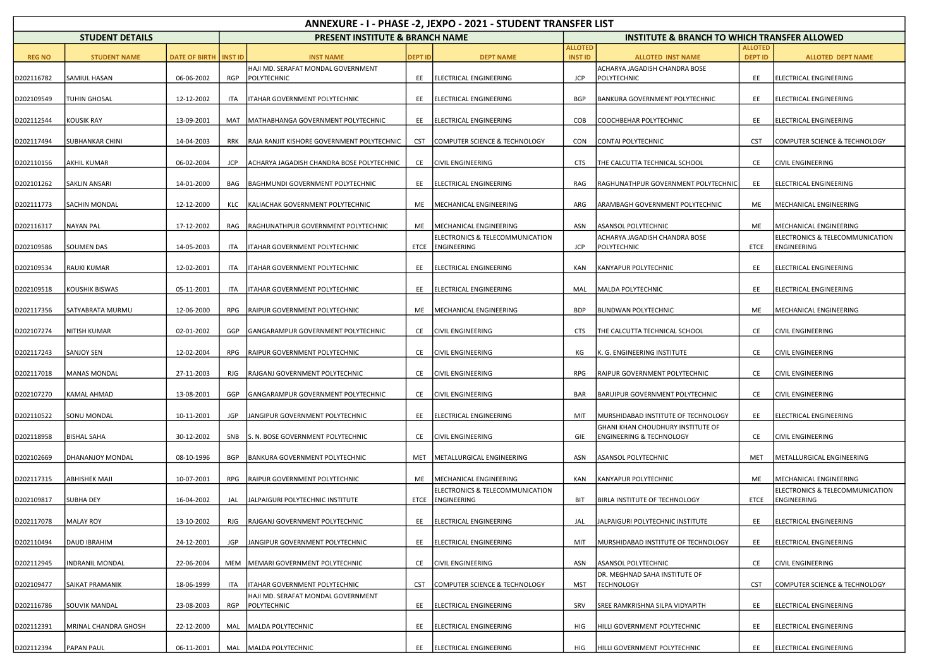| ANNEXURE - I - PHASE -2, JEXPO - 2021 - STUDENT TRANSFER LIST |                        |                         |            |                                                   |                |                                                     |                                  |                                                                          |                                  |                                                |  |
|---------------------------------------------------------------|------------------------|-------------------------|------------|---------------------------------------------------|----------------|-----------------------------------------------------|----------------------------------|--------------------------------------------------------------------------|----------------------------------|------------------------------------------------|--|
|                                                               | <b>STUDENT DETAILS</b> |                         |            | <b>PRESENT INSTITUTE &amp; BRANCH NAME</b>        |                |                                                     |                                  | <b>INSTITUTE &amp; BRANCH TO WHICH TRANSFER ALLOWED</b>                  |                                  |                                                |  |
| <b>REG NO</b>                                                 | <b>STUDENT NAME</b>    | DATE OF BIRTH   INST ID |            | <b>INST NAME</b>                                  | <b>DEPT ID</b> | <b>DEPT NAME</b>                                    | <b>ALLOTED</b><br><b>INST ID</b> | <b>ALLOTED INST NAME</b>                                                 | <b>ALLOTED</b><br><b>DEPT ID</b> | <b>ALLOTED DEPT NAME</b>                       |  |
| D202116782                                                    | SAMIUL HASAN           | 06-06-2002              | RGP        | HAJI MD. SERAFAT MONDAL GOVERNMENT<br>POLYTECHNIC | EE             | <b>ELECTRICAL ENGINEERING</b>                       | <b>JCP</b>                       | ACHARYA JAGADISH CHANDRA BOSE<br>POLYTECHNIC                             | EE                               | ELECTRICAL ENGINEERING                         |  |
| D202109549                                                    | TUHIN GHOSAL           | 12-12-2002              | <b>ITA</b> | ITAHAR GOVERNMENT POLYTECHNIC                     | EE             | ELECTRICAL ENGINEERING                              | <b>BGP</b>                       | BANKURA GOVERNMENT POLYTECHNIC                                           | EE                               | ELECTRICAL ENGINEERING                         |  |
| D202112544                                                    | KOUSIK RAY             | 13-09-2001              | MAT        | MATHABHANGA GOVERNMENT POLYTECHNIC                | EE             | ELECTRICAL ENGINEERING                              | COB                              | COOCHBEHAR POLYTECHNIC                                                   | EE                               | ELECTRICAL ENGINEERING                         |  |
| D202117494                                                    | SUBHANKAR CHINI        | 14-04-2003              | <b>RRK</b> | RAJA RANJIT KISHORE GOVERNMENT POLYTECHNIC        | CST            | COMPUTER SCIENCE & TECHNOLOGY                       | CON                              | CONTAI POLYTECHNIC                                                       | <b>CST</b>                       | COMPUTER SCIENCE & TECHNOLOGY                  |  |
| D202110156                                                    | <b>AKHIL KUMAR</b>     | 06-02-2004              | JCP        | ACHARYA JAGADISH CHANDRA BOSE POLYTECHNIC         | CE             | <b>CIVIL ENGINEERING</b>                            | <b>CTS</b>                       | THE CALCUTTA TECHNICAL SCHOOL                                            | CE                               | <b>CIVIL ENGINEERING</b>                       |  |
| D202101262                                                    | <b>SAKLIN ANSARI</b>   | 14-01-2000              | BAG        | BAGHMUNDI GOVERNMENT POLYTECHNIC                  | EE             | ELECTRICAL ENGINEERING                              | RAG                              | RAGHUNATHPUR GOVERNMENT POLYTECHNIC                                      | EE                               | ELECTRICAL ENGINEERING                         |  |
| D202111773                                                    | SACHIN MONDAL          | 12-12-2000              | KLC        | KALIACHAK GOVERNMENT POLYTECHNIC                  | ME             | MECHANICAL ENGINEERING                              | ARG                              | ARAMBAGH GOVERNMENT POLYTECHNIC                                          | ME                               | MECHANICAL ENGINEERING                         |  |
| D202116317                                                    | NAYAN PAL              | 17-12-2002              | RAG        | RAGHUNATHPUR GOVERNMENT POLYTECHNIC               | ME             | MECHANICAL ENGINEERING                              | ASN                              | ASANSOL POLYTECHNIC                                                      | ME                               | MECHANICAL ENGINEERING                         |  |
| D202109586                                                    | <b>SOUMEN DAS</b>      | 14-05-2003              | <b>ITA</b> | ITAHAR GOVERNMENT POLYTECHNIC                     |                | ELECTRONICS & TELECOMMUNICATION<br>ETCE ENGINEERING | <b>JCP</b>                       | ACHARYA JAGADISH CHANDRA BOSE<br>POLYTECHNIC                             | ETCE                             | ELECTRONICS & TELECOMMUNICATION<br>ENGINEERING |  |
| D202109534                                                    | RAUKI KUMAR            | 12-02-2001              | ITA        | ITAHAR GOVERNMENT POLYTECHNIC                     | EE             | ELECTRICAL ENGINEERING                              | KAN                              | KANYAPUR POLYTECHNIC                                                     | EE                               | ELECTRICAL ENGINEERING                         |  |
| D202109518                                                    | KOUSHIK BISWAS         | 05-11-2001              | <b>ITA</b> | ITAHAR GOVERNMENT POLYTECHNIC                     | EE             | ELECTRICAL ENGINEERING                              | MAL                              | MALDA POLYTECHNIC                                                        | EE                               | ELECTRICAL ENGINEERING                         |  |
| D202117356                                                    | SATYABRATA MURMU       | 12-06-2000              | RPG        | RAIPUR GOVERNMENT POLYTECHNIC                     | ME             | MECHANICAL ENGINEERING                              | <b>BDP</b>                       | BUNDWAN POLYTECHNIC                                                      | ME                               | MECHANICAL ENGINEERING                         |  |
| D202107274                                                    | NITISH KUMAR           | 02-01-2002              | GGP        | GANGARAMPUR GOVERNMENT POLYTECHNIC                | CE             | <b>CIVIL ENGINEERING</b>                            | <b>CTS</b>                       | THE CALCUTTA TECHNICAL SCHOOL                                            | CE                               | CIVIL ENGINEERING                              |  |
| D202117243                                                    | SANJOY SEN             | 12-02-2004              | RPG        | RAIPUR GOVERNMENT POLYTECHNIC                     | CE             | <b>CIVIL ENGINEERING</b>                            | КG                               | K. G. ENGINEERING INSTITUTE                                              | CE                               | <b>CIVIL ENGINEERING</b>                       |  |
| D202117018                                                    | <b>MANAS MONDAL</b>    | 27-11-2003              | RJG        | RAJGANJ GOVERNMENT POLYTECHNIC                    | CE             | <b>CIVIL ENGINEERING</b>                            | <b>RPG</b>                       | RAIPUR GOVERNMENT POLYTECHNIC                                            | CE                               | CIVIL ENGINEERING                              |  |
| D202107270                                                    | KAMAL AHMAD            | 13-08-2001              | GGP        | GANGARAMPUR GOVERNMENT POLYTECHNIC                | CE             | <b>CIVIL ENGINEERING</b>                            | <b>BAR</b>                       | <b>BARUIPUR GOVERNMENT POLYTECHNIC</b>                                   | CE                               | <b>CIVIL ENGINEERING</b>                       |  |
| D202110522                                                    | SONU MONDAL            | 10-11-2001              | JGP        | JANGIPUR GOVERNMENT POLYTECHNIC                   | EE             | ELECTRICAL ENGINEERING                              | MIT                              | MURSHIDABAD INSTITUTE OF TECHNOLOGY                                      | EE                               | ELECTRICAL ENGINEERING                         |  |
| D202118958                                                    | <b>BISHAL SAHA</b>     | 30-12-2002              | SNB        | S. N. BOSE GOVERNMENT POLYTECHNIC                 | CE             | <b>CIVIL ENGINEERING</b>                            | GIE                              | GHANI KHAN CHOUDHURY INSTITUTE OF<br><b>ENGINEERING &amp; TECHNOLOGY</b> | CE                               | <b>CIVIL ENGINEERING</b>                       |  |
| D202102669                                                    | DHANANJOY MONDAL       | 08-10-1996              | <b>BGP</b> | <b>BANKURA GOVERNMENT POLYTECHNIC</b>             | MET            | METALLURGICAL ENGINEERING                           | ASN                              | ASANSOL POLYTECHNIC                                                      | MET                              | METALLURGICAL ENGINEERING                      |  |
| D202117315                                                    | <b>ABHISHEK MAJI</b>   | 10-07-2001              | RPG        | RAIPUR GOVERNMENT POLYTECHNIC                     | ME             | MECHANICAL ENGINEERING                              | KAN                              | KANYAPUR POLYTECHNIC                                                     | ME                               | MECHANICAL ENGINEERING                         |  |
| D202109817                                                    | <b>SUBHA DEY</b>       | 16-04-2002              | JAL        | JALPAIGURI POLYTECHNIC INSTITUTE                  | ETCE           | ELECTRONICS & TELECOMMUNICATION<br>ENGINEERING      | <b>BIT</b>                       | BIRLA INSTITUTE OF TECHNOLOGY                                            | ETCE                             | ELECTRONICS & TELECOMMUNICATION<br>ENGINEERING |  |
| D202117078                                                    | <b>MALAY ROY</b>       | 13-10-2002              | RJG        | RAJGANJ GOVERNMENT POLYTECHNIC                    | EE             | ELECTRICAL ENGINEERING                              | JAL                              | JALPAIGURI POLYTECHNIC INSTITUTE                                         | EE                               | ELECTRICAL ENGINEERING                         |  |
| D202110494                                                    | <b>DAUD IBRAHIM</b>    | 24-12-2001              | JGP        | JANGIPUR GOVERNMENT POLYTECHNIC                   | EE             | ELECTRICAL ENGINEERING                              | MIT                              | MURSHIDABAD INSTITUTE OF TECHNOLOGY                                      | EE                               | ELECTRICAL ENGINEERING                         |  |
| D202112945                                                    | INDRANIL MONDAL        | 22-06-2004              | MEM        | MEMARI GOVERNMENT POLYTECHNIC                     | CE             | <b>CIVIL ENGINEERING</b>                            | ASN                              | ASANSOL POLYTECHNIC                                                      | CE                               | <b>CIVIL ENGINEERING</b>                       |  |
| D202109477                                                    | SAIKAT PRAMANIK        | 18-06-1999              | ITA        | ITAHAR GOVERNMENT POLYTECHNIC                     | <b>CST</b>     | COMPUTER SCIENCE & TECHNOLOGY                       | MST                              | DR. MEGHNAD SAHA INSTITUTE OF<br><b>TECHNOLOGY</b>                       | <b>CST</b>                       | COMPUTER SCIENCE & TECHNOLOGY                  |  |
| D202116786                                                    | SOUVIK MANDAL          | 23-08-2003              | RGP        | HAJI MD. SERAFAT MONDAL GOVERNMENT<br>POLYTECHNIC | EE             | ELECTRICAL ENGINEERING                              | SRV                              | SREE RAMKRISHNA SILPA VIDYAPITH                                          | EE                               | ELECTRICAL ENGINEERING                         |  |
| D202112391                                                    | MRINAL CHANDRA GHOSH   | 22-12-2000              | MAL        | MALDA POLYTECHNIC                                 | EE             | ELECTRICAL ENGINEERING                              | HIG                              | HILLI GOVERNMENT POLYTECHNIC                                             | EE                               | ELECTRICAL ENGINEERING                         |  |
| D202112394                                                    | PAPAN PAUL             | 06-11-2001              | MAL        | MALDA POLYTECHNIC                                 | EE             | ELECTRICAL ENGINEERING                              | HIG                              | HILLI GOVERNMENT POLYTECHNIC                                             | EE                               | ELECTRICAL ENGINEERING                         |  |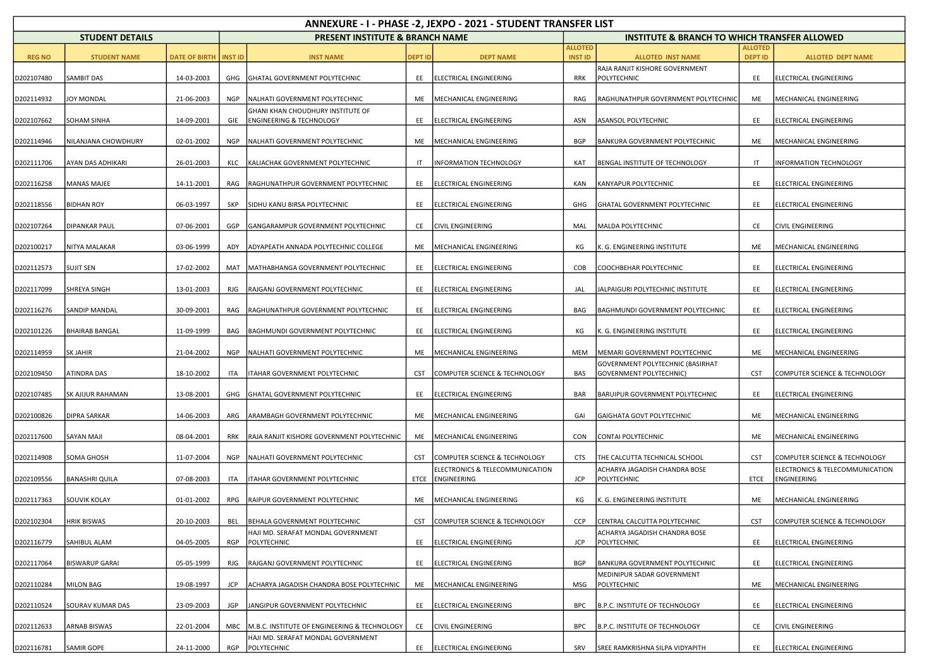| ANNEXURE - I - PHASE -2, JEXPO - 2021 - STUDENT TRANSFER LIST |                        |               |                |                                                                          |                |                                                     |                                  |                                                             |                                  |                                                |  |
|---------------------------------------------------------------|------------------------|---------------|----------------|--------------------------------------------------------------------------|----------------|-----------------------------------------------------|----------------------------------|-------------------------------------------------------------|----------------------------------|------------------------------------------------|--|
|                                                               | <b>STUDENT DETAILS</b> |               |                | <b>PRESENT INSTITUTE &amp; BRANCH NAME</b>                               |                |                                                     |                                  | <b>INSTITUTE &amp; BRANCH TO WHICH TRANSFER ALLOWED</b>     |                                  |                                                |  |
| <b>REG NO</b>                                                 | <b>STUDENT NAME</b>    | DATE OF BIRTH | <b>INST ID</b> | <b>INST NAME</b>                                                         | <b>DEPT ID</b> | <b>DEPT NAME</b>                                    | <b>ALLOTED</b><br><b>INST ID</b> | <b>ALLOTED INST NAME</b>                                    | <b>ALLOTED</b><br><b>DEPT ID</b> | <b>ALLOTED DEPT NAME</b>                       |  |
| D202107480                                                    | SAMBIT DAS             | 14-03-2003    | GHG            | GHATAL GOVERNMENT POLYTECHNIC                                            | EE             | ELECTRICAL ENGINEERING                              | RRK                              | RAJA RANJIT KISHORE GOVERNMENT<br>POLYTECHNIC               | EE                               | ELECTRICAL ENGINEERING                         |  |
| D202114932                                                    | JOY MONDAL             | 21-06-2003    | <b>NGP</b>     | NALHATI GOVERNMENT POLYTECHNIC                                           | ME             | MECHANICAL ENGINEERING                              | RAG                              | RAGHUNATHPUR GOVERNMENT POLYTECHNIC                         | ME                               | MECHANICAL ENGINEERING                         |  |
| D202107662                                                    | <b>SOHAM SINHA</b>     | 14-09-2001    | GIE            | GHANI KHAN CHOUDHURY INSTITUTE OF<br><b>ENGINEERING &amp; TECHNOLOGY</b> | EE             | ELECTRICAL ENGINEERING                              | ASN                              | ASANSOL POLYTECHNIC                                         | EE                               | ELECTRICAL ENGINEERING                         |  |
| D202114946                                                    | NILANJANA CHOWDHURY    | 02-01-2002    | <b>NGP</b>     | NALHATI GOVERNMENT POLYTECHNIC                                           | ME             | MECHANICAL ENGINEERING                              | <b>BGP</b>                       | <b>BANKURA GOVERNMENT POLYTECHNIC</b>                       | ME                               | MECHANICAL ENGINEERING                         |  |
| D202111706                                                    | AYAN DAS ADHIKARI      | 26-01-2003    | KLC            | KALIACHAK GOVERNMENT POLYTECHNIC                                         | IT             | <b>INFORMATION TECHNOLOGY</b>                       | KAT                              | BENGAL INSTITUTE OF TECHNOLOGY                              | IT                               | INFORMATION TECHNOLOGY                         |  |
| D202116258                                                    | <b>MANAS MAJEE</b>     | 14-11-2001    | RAG            | RAGHUNATHPUR GOVERNMENT POLYTECHNIC                                      | EE             | ELECTRICAL ENGINEERING                              | KAN                              | KANYAPUR POLYTECHNIC                                        | EE                               | ELECTRICAL ENGINEERING                         |  |
| D202118556                                                    | <b>BIDHAN ROY</b>      | 06-03-1997    | SKP            | SIDHU KANU BIRSA POLYTECHNIC                                             | EE             | ELECTRICAL ENGINEERING                              | GHG                              | GHATAL GOVERNMENT POLYTECHNIC                               | EE                               | ELECTRICAL ENGINEERING                         |  |
| D202107264                                                    | <b>DIPANKAR PAUL</b>   | 07-06-2001    | GGP            | GANGARAMPUR GOVERNMENT POLYTECHNIC                                       | CE             | <b>CIVIL ENGINEERING</b>                            | MAL                              | MALDA POLYTECHNIC                                           | CE                               | <b>CIVIL ENGINEERING</b>                       |  |
| D202100217                                                    | NITYA MALAKAR          | 03-06-1999    | ADY            | ADYAPEATH ANNADA POLYTECHNIC COLLEGE                                     | ME             | MECHANICAL ENGINEERING                              | КG                               | K. G. ENGINEERING INSTITUTE                                 | ME                               | MECHANICAL ENGINEERING                         |  |
| D202112573                                                    | <b>SUJIT SEN</b>       | 17-02-2002    | MAT            | MATHABHANGA GOVERNMENT POLYTECHNIC                                       | EE             | ELECTRICAL ENGINEERING                              | COB                              | COOCHBEHAR POLYTECHNIC                                      | EE                               | ELECTRICAL ENGINEERING                         |  |
| D202117099                                                    | SHREYA SINGH           | 13-01-2003    | RJG            | RAJGANJ GOVERNMENT POLYTECHNIC                                           | EE             | ELECTRICAL ENGINEERING                              | JAL                              | JALPAIGURI POLYTECHNIC INSTITUTE                            | EE                               | ELECTRICAL ENGINEERING                         |  |
| D202116276                                                    | <b>SANDIP MANDAL</b>   | 30-09-2001    | RAG            | RAGHUNATHPUR GOVERNMENT POLYTECHNIC                                      | EE             | ELECTRICAL ENGINEERING                              | BAG                              | BAGHMUNDI GOVERNMENT POLYTECHNIC                            | EE                               | ELECTRICAL ENGINEERING                         |  |
| D202101226                                                    | <b>BHAIRAB BANGAL</b>  | 11-09-1999    | BAG            | <b>BAGHMUNDI GOVERNMENT POLYTECHNIC</b>                                  | EE             | <b>ELECTRICAL ENGINEERING</b>                       | КG                               | K. G. ENGINEERING INSTITUTE                                 | EE                               | ELECTRICAL ENGINEERING                         |  |
| D202114959                                                    | <b>SK JAHIR</b>        | 21-04-2002    | <b>NGP</b>     | NALHATI GOVERNMENT POLYTECHNIC                                           | ME             | MECHANICAL ENGINEERING                              | <b>MEM</b>                       | MEMARI GOVERNMENT POLYTECHNIC                               | ME                               | MECHANICAL ENGINEERING                         |  |
| D202109450                                                    | ATINDRA DAS            | 18-10-2002    | ITA            | ITAHAR GOVERNMENT POLYTECHNIC                                            | CST            | COMPUTER SCIENCE & TECHNOLOGY                       | <b>BAS</b>                       | GOVERNMENT POLYTECHNIC (BASIRHAT<br>GOVERNMENT POLYTECHNIC) | <b>CST</b>                       | COMPUTER SCIENCE & TECHNOLOGY                  |  |
| D202107485                                                    | SK AJIJUR RAHAMAN      | 13-08-2001    | GHG            | GHATAL GOVERNMENT POLYTECHNIC                                            | EE             | ELECTRICAL ENGINEERING                              | <b>BAR</b>                       | BARUIPUR GOVERNMENT POLYTECHNIC                             | EE                               | ELECTRICAL ENGINEERING                         |  |
| D202100826                                                    | <b>DIPRA SARKAR</b>    | 14-06-2003    | ARG            | ARAMBAGH GOVERNMENT POLYTECHNIC                                          | ME             | MECHANICAL ENGINEERING                              | GAI                              | GAIGHATA GOVT POLYTECHNIC                                   | ME                               | MECHANICAL ENGINEERING                         |  |
| D202117600                                                    | SAYAN MAJI             | 08-04-2001    | <b>RRK</b>     | RAJA RANJIT KISHORE GOVERNMENT POLYTECHNIC                               | ME             | MECHANICAL ENGINEERING                              | CON                              | <b>CONTAI POLYTECHNIC</b>                                   | ME                               | MECHANICAL ENGINEERING                         |  |
| D202114908                                                    | SOMA GHOSH             | 11-07-2004    | <b>NGP</b>     | NALHATI GOVERNMENT POLYTECHNIC                                           | <b>CST</b>     | COMPUTER SCIENCE & TECHNOLOGY                       | <b>CTS</b>                       | THE CALCUTTA TECHNICAL SCHOOL                               | <b>CST</b>                       | COMPUTER SCIENCE & TECHNOLOGY                  |  |
| D202109556                                                    | <b>BANASHRI QUILA</b>  | 07-08-2003    | ITA            | ITAHAR GOVERNMENT POLYTECHNIC                                            |                | ELECTRONICS & TELECOMMUNICATION<br>ETCE ENGINEERING | JCP                              | ACHARYA JAGADISH CHANDRA BOSE<br>POLYTECHNIC                | ETCE                             | ELECTRONICS & TELECOMMUNICATION<br>ENGINEERING |  |
| D202117363                                                    | SOUVIK KOLAY           | 01-01-2002    | RPG            | RAIPUR GOVERNMENT POLYTECHNIC                                            | ME             | MECHANICAL ENGINEERING                              | КG                               | K. G. ENGINEERING INSTITUTE                                 | ME                               | MECHANICAL ENGINEERING                         |  |
| D202102304                                                    | <b>HRIK BISWAS</b>     | 20-10-2003    |                | BEL BEHALA GOVERNMENT POLYTECHNIC                                        |                | CST COMPUTER SCIENCE & TECHNOLOGY                   | CCP                              | CENTRAL CALCUTTA POLYTECHNIC                                | <b>CST</b>                       | COMPUTER SCIENCE & TECHNOLOGY                  |  |
| D202116779                                                    | SAHIBUL ALAM           | 04-05-2005    | RGP            | HAJI MD. SERAFAT MONDAL GOVERNMENT<br>POLYTECHNIC                        | EE             | ELECTRICAL ENGINEERING                              | <b>JCP</b>                       | ACHARYA JAGADISH CHANDRA BOSE<br>POLYTECHNIC                | EE                               | ELECTRICAL ENGINEERING                         |  |
| D202117064                                                    | <b>BISWARUP GARAI</b>  | 05-05-1999    | RJG            | RAJGANJ GOVERNMENT POLYTECHNIC                                           | EE             | ELECTRICAL ENGINEERING                              | <b>BGP</b>                       | BANKURA GOVERNMENT POLYTECHNIC                              | EE                               | ELECTRICAL ENGINEERING                         |  |
| D202110284                                                    | <b>MILON BAG</b>       | 19-08-1997    | <b>JCP</b>     | ACHARYA JAGADISH CHANDRA BOSE POLYTECHNIC                                | ME             | MECHANICAL ENGINEERING                              | <b>MSG</b>                       | MEDINIPUR SADAR GOVERNMENT<br>POLYTECHNIC                   | ME                               | MECHANICAL ENGINEERING                         |  |
| D202110524                                                    | SOURAV KUMAR DAS       | 23-09-2003    | JGP            | JANGIPUR GOVERNMENT POLYTECHNIC                                          | EE             | <b>ELECTRICAL ENGINEERING</b>                       | <b>BPC</b>                       | B.P.C. INSTITUTE OF TECHNOLOGY                              | EE                               | ELECTRICAL ENGINEERING                         |  |
| D202112633                                                    | ARNAB BISWAS           | 22-01-2004    | MBC            | M.B.C. INSTITUTE OF ENGINEERING & TECHNOLOGY                             | CE             | <b>CIVIL ENGINEERING</b>                            | <b>BPC</b>                       | B.P.C. INSTITUTE OF TECHNOLOGY                              | CE                               | CIVIL ENGINEERING                              |  |
| D202116781                                                    | <b>SAMIR GOPE</b>      | 24-11-2000    | RGP            | HAJI MD. SERAFAT MONDAL GOVERNMENT<br>POLYTECHNIC                        | EE             | ELECTRICAL ENGINEERING                              | SRV                              | SREE RAMKRISHNA SILPA VIDYAPITH                             | EE                               | ELECTRICAL ENGINEERING                         |  |